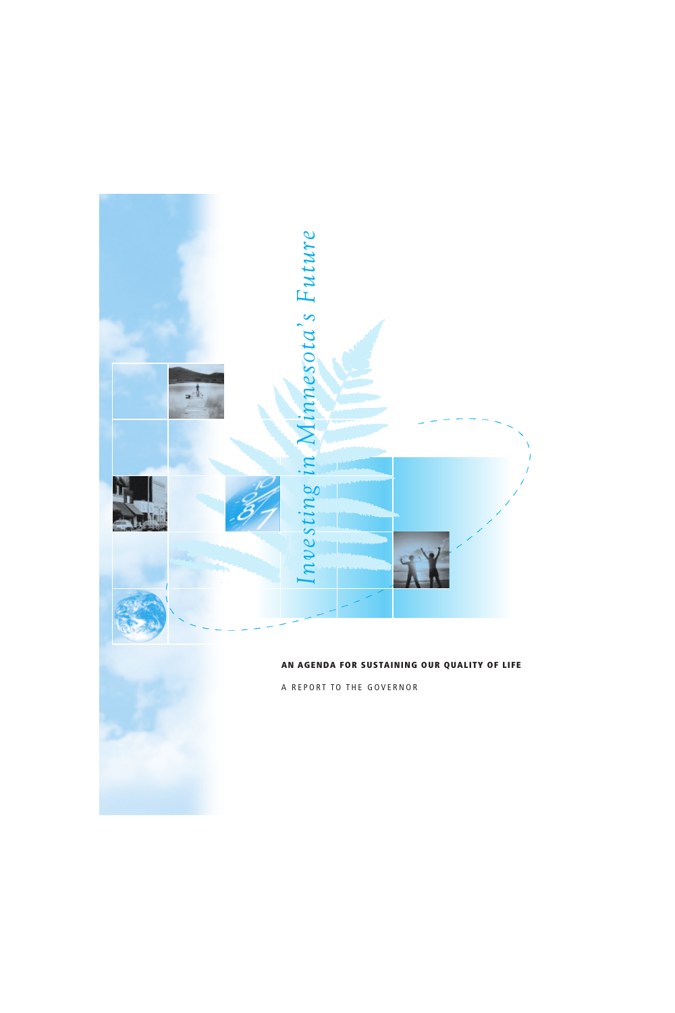

#### **AN AGENDA FOR SUSTAINING OUR QUALITY OF LIFE**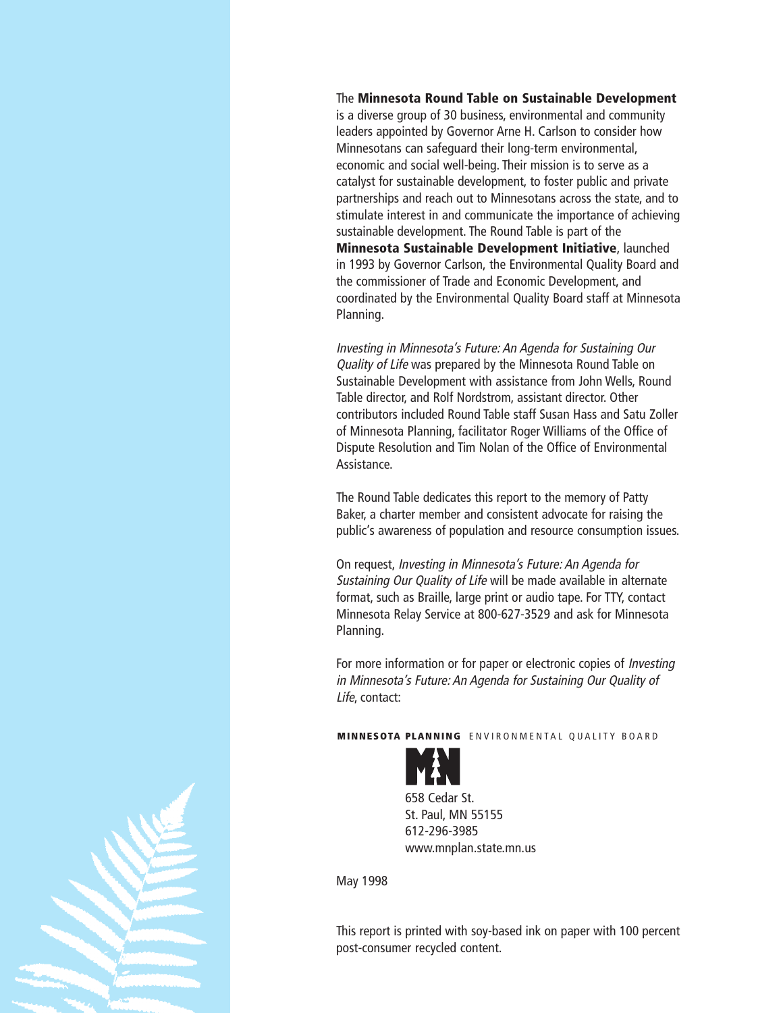#### The **Minnesota Round Table on Sustainable Development**

is a diverse group of 30 business, environmental and community leaders appointed by Governor Arne H. Carlson to consider how Minnesotans can safeguard their long-term environmental, economic and social well-being. Their mission is to serve as a catalyst for sustainable development, to foster public and private partnerships and reach out to Minnesotans across the state, and to stimulate interest in and communicate the importance of achieving sustainable development. The Round Table is part of the **Minnesota Sustainable Development Initiative**, launched in 1993 by Governor Carlson, the Environmental Quality Board and the commissioner of Trade and Economic Development, and coordinated by the Environmental Quality Board staff at Minnesota Planning.

Investing in Minnesota's Future: An Agenda for Sustaining Our Quality of Life was prepared by the Minnesota Round Table on Sustainable Development with assistance from John Wells, Round Table director, and Rolf Nordstrom, assistant director. Other contributors included Round Table staff Susan Hass and Satu Zoller of Minnesota Planning, facilitator Roger Williams of the Office of Dispute Resolution and Tim Nolan of the Office of Environmental Assistance.

The Round Table dedicates this report to the memory of Patty Baker, a charter member and consistent advocate for raising the public's awareness of population and resource consumption issues.

On request, Investing in Minnesota's Future: An Agenda for Sustaining Our Quality of Life will be made available in alternate format, such as Braille, large print or audio tape. For TTY, contact Minnesota Relay Service at 800-627-3529 and ask for Minnesota Planning.

For more information or for paper or electronic copies of Investing in Minnesota's Future: An Agenda for Sustaining Our Quality of Life, contact:

**MINNESOTA PLANNING** ENVIRONMENTAL QUALITY BOARD



658 Cedar St. St. Paul, MN 55155 612-296-3985 www.mnplan.state.mn.us

May 1998

This report is printed with soy-based ink on paper with 100 percent post-consumer recycled content.

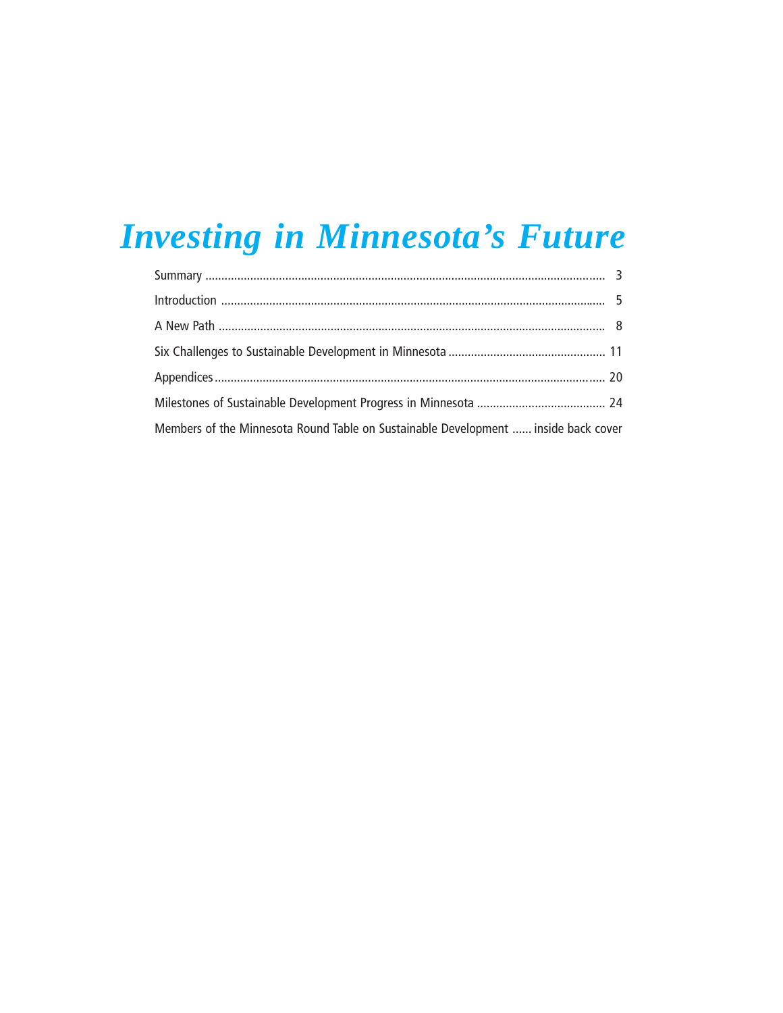## **Investing in Minnesota's Future**

| Members of the Minnesota Round Table on Sustainable Development  inside back cover |  |
|------------------------------------------------------------------------------------|--|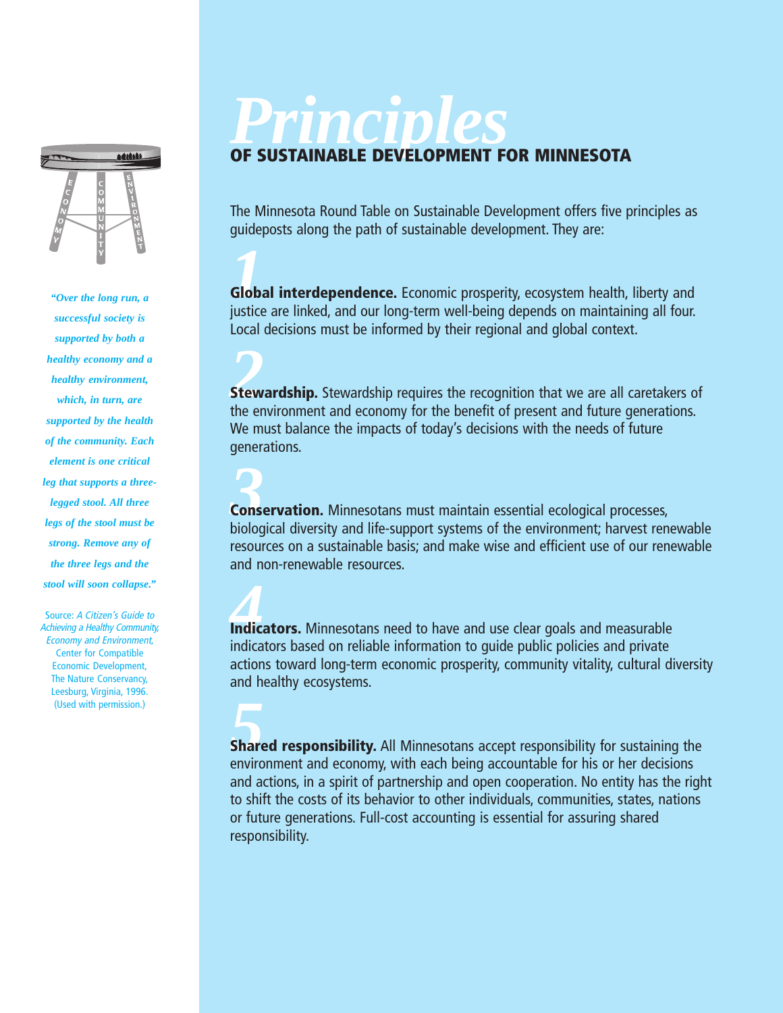

*"Over the long run, a successful society is supported by both a healthy economy and a healthy environment, which, in turn, are supported by the health of the community. Each element is one critical leg that supports a threelegged stool. All three legs of the stool must be strong. Remove any of the three legs and the stool will soon collapse."*

Source: A Citizen's Guide to Achieving a Healthy Community, Economy and Environment, Center for Compatible Economic Development, The Nature Conservancy, Leesburg, Virginia, 1996. (Used with permission.)

# *Principles*

#### **OF SUSTAINABLE DEVELOPMENT FOR MINNESOTA**

The Minnesota Round Table on Sustainable Development offers five principles as guideposts along the path of sustainable development. They are:

**1**<br>**Global interdependence.** Economic prosperity, ecosystem health, liberty and<br>instite are linked, and our long term well-being depends on maintaining all four justice are linked, and our long-term well-being depends on maintaining all four. Local decisions must be informed by their regional and global context.

**2**<br> **22**<br> **22 22 Property Stewardship requires the recognition that we are all caretakers of the experience** the environment and economy for the benefit of present and future generations. We must balance the impacts of today's decisions with the needs of future generations.

**3**<br>**3**<br>**Conservation.** Minnesotans must maintain essential ecological processes,<br>biological diversity and life-support systems of the environment; hangest ren biological diversity and life-support systems of the environment; harvest renewable resources on a sustainable basis; and make wise and efficient use of our renewable and non-renewable resources.

**Indicators.** Minnesotans need to have and use clear goals and measurable indicators based on reliable information to guide public policies and private actions toward long-term economic prosperity, community vitality, cultural diversity and healthy ecosystems.

**Shared responsibility.** All Minnesotans accept responsibility for sustaining the provisor and accept with each being acceptable for his or her decisions environment and economy, with each being accountable for his or her decisions and actions, in a spirit of partnership and open cooperation. No entity has the right to shift the costs of its behavior to other individuals, communities, states, nations or future generations. Full-cost accounting is essential for assuring shared responsibility.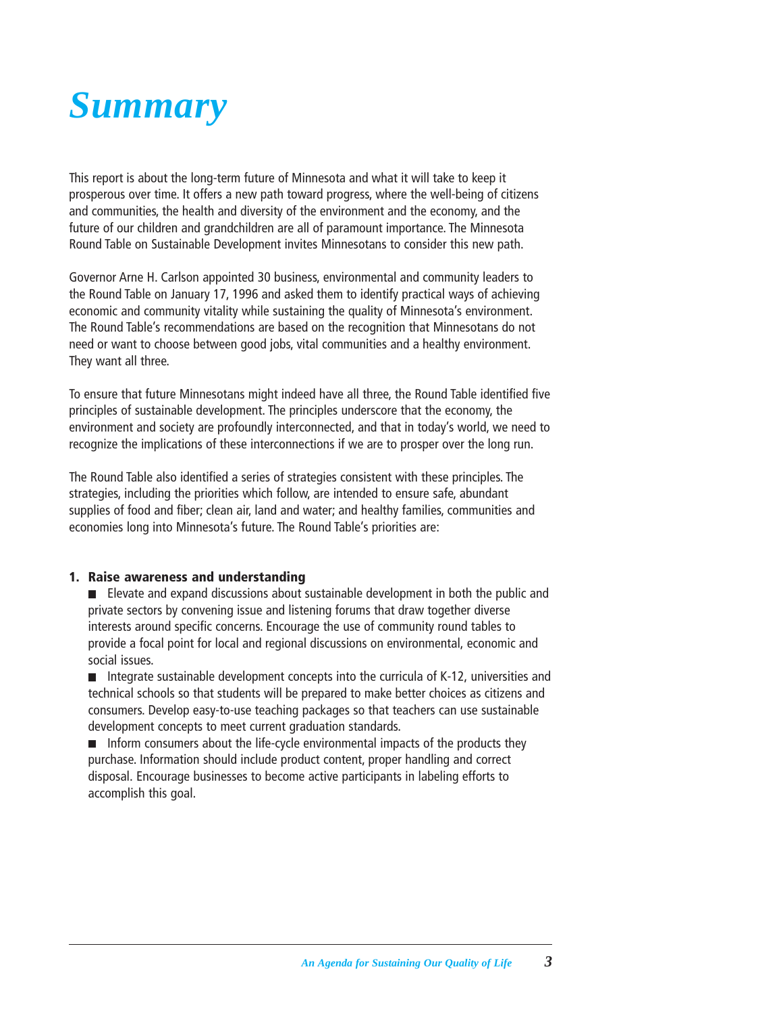<span id="page-4-0"></span>

This report is about the long-term future of Minnesota and what it will take to keep it prosperous over time. It offers a new path toward progress, where the well-being of citizens and communities, the health and diversity of the environment and the economy, and the future of our children and grandchildren are all of paramount importance. The Minnesota Round Table on Sustainable Development invites Minnesotans to consider this new path.

Governor Arne H. Carlson appointed 30 business, environmental and community leaders to the Round Table on January 17, 1996 and asked them to identify practical ways of achieving economic and community vitality while sustaining the quality of Minnesota's environment. The Round Table's recommendations are based on the recognition that Minnesotans do not need or want to choose between good jobs, vital communities and a healthy environment. They want all three.

To ensure that future Minnesotans might indeed have all three, the Round Table identified five principles of sustainable development. The principles underscore that the economy, the environment and society are profoundly interconnected, and that in today's world, we need to recognize the implications of these interconnections if we are to prosper over the long run.

The Round Table also identified a series of strategies consistent with these principles. The strategies, including the priorities which follow, are intended to ensure safe, abundant supplies of food and fiber; clean air, land and water; and healthy families, communities and economies long into Minnesota's future. The Round Table's priorities are:

#### **1. Raise awareness and understanding**

Elevate and expand discussions about sustainable development in both the public and private sectors by convening issue and listening forums that draw together diverse interests around specific concerns. Encourage the use of community round tables to provide a focal point for local and regional discussions on environmental, economic and social issues.

Integrate sustainable development concepts into the curricula of  $K-12$ , universities and technical schools so that students will be prepared to make better choices as citizens and consumers. Develop easy-to-use teaching packages so that teachers can use sustainable development concepts to meet current graduation standards.

 $\blacksquare$  Inform consumers about the life-cycle environmental impacts of the products they purchase. Information should include product content, proper handling and correct disposal. Encourage businesses to become active participants in labeling efforts to accomplish this goal.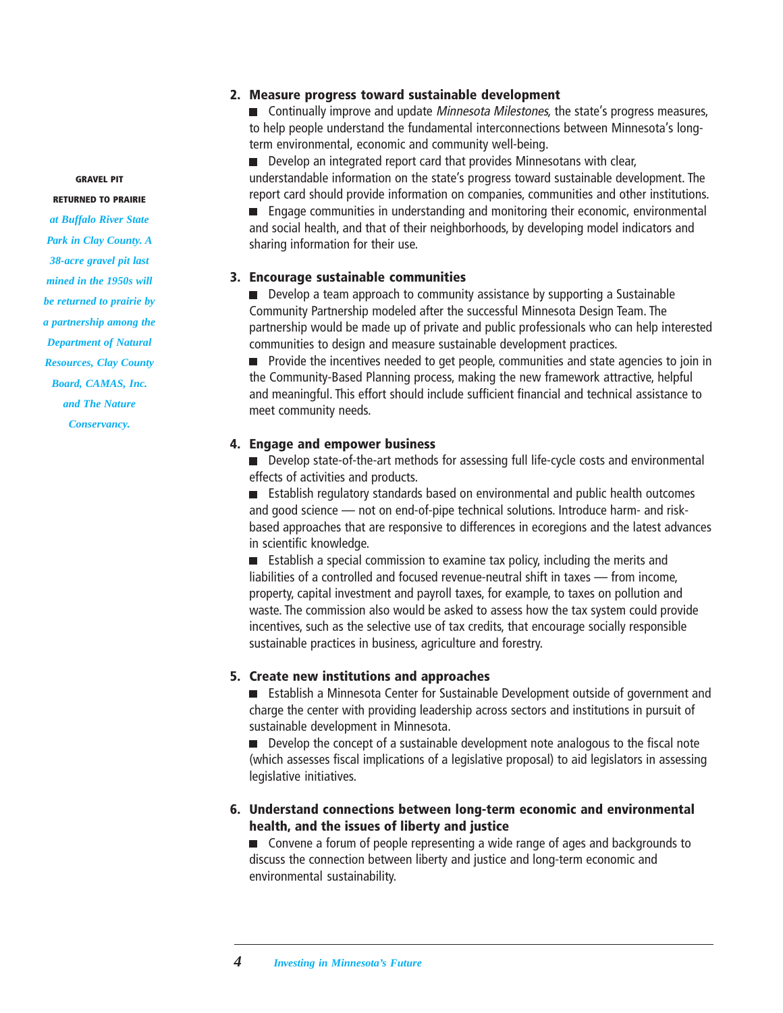#### **GRAVEL PIT**

#### **RETURNED TO PRAIRIE**

*at Buffalo River State Park in Clay County. A 38-acre gravel pit last mined in the 1950s will be returned to prairie by a partnership among the Department of Natural Resources, Clay County Board, CAMAS, Inc. and The Nature Conservancy.*

#### **2. Measure progress toward sustainable development**

**Continually improve and update** *Minnesota Milestones*, the state's progress measures, to help people understand the fundamental interconnections between Minnesota's longterm environmental, economic and community well-being.

Develop an integrated report card that provides Minnesotans with clear, understandable information on the state's progress toward sustainable development. The report card should provide information on companies, communities and other institutions. **Engage communities in understanding and monitoring their economic, environmental** 

and social health, and that of their neighborhoods, by developing model indicators and sharing information for their use.

#### **3. Encourage sustainable communities**

Develop a team approach to community assistance by supporting a Sustainable Community Partnership modeled after the successful Minnesota Design Team. The partnership would be made up of private and public professionals who can help interested communities to design and measure sustainable development practices.

 $\blacksquare$  Provide the incentives needed to get people, communities and state agencies to join in the Community-Based Planning process, making the new framework attractive, helpful and meaningful. This effort should include sufficient financial and technical assistance to meet community needs.

#### **4. Engage and empower business**

**Develop state-of-the-art methods for assessing full life-cycle costs and environmental** effects of activities and products.

**E** Establish regulatory standards based on environmental and public health outcomes and good science — not on end-of-pipe technical solutions. Introduce harm- and riskbased approaches that are responsive to differences in ecoregions and the latest advances in scientific knowledge.

■ Establish a special commission to examine tax policy, including the merits and liabilities of a controlled and focused revenue-neutral shift in taxes — from income, property, capital investment and payroll taxes, for example, to taxes on pollution and waste. The commission also would be asked to assess how the tax system could provide incentives, such as the selective use of tax credits, that encourage socially responsible sustainable practices in business, agriculture and forestry.

#### **5. Create new institutions and approaches**

Establish a Minnesota Center for Sustainable Development outside of government and charge the center with providing leadership across sectors and institutions in pursuit of sustainable development in Minnesota.

Develop the concept of a sustainable development note analogous to the fiscal note (which assesses fiscal implications of a legislative proposal) to aid legislators in assessing legislative initiatives.

#### **6. Understand connections between long-term economic and environmental health, and the issues of liberty and justice**

■ Convene a forum of people representing a wide range of ages and backgrounds to discuss the connection between liberty and justice and long-term economic and environmental sustainability.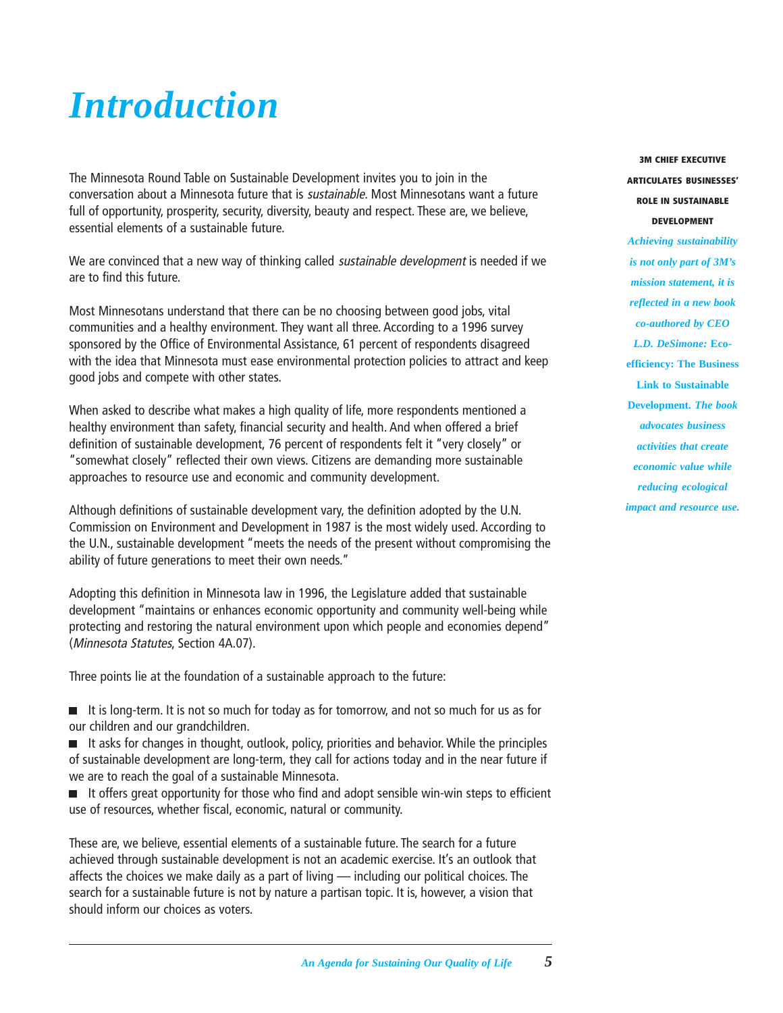## <span id="page-6-0"></span>*Introduction*

The Minnesota Round Table on Sustainable Development invites you to join in the conversation about a Minnesota future that is sustainable. Most Minnesotans want a future full of opportunity, prosperity, security, diversity, beauty and respect. These are, we believe, essential elements of a sustainable future.

We are convinced that a new way of thinking called sustainable development is needed if we are to find this future.

Most Minnesotans understand that there can be no choosing between good jobs, vital communities and a healthy environment. They want all three. According to a 1996 survey sponsored by the Office of Environmental Assistance, 61 percent of respondents disagreed with the idea that Minnesota must ease environmental protection policies to attract and keep good jobs and compete with other states.

When asked to describe what makes a high quality of life, more respondents mentioned a healthy environment than safety, financial security and health. And when offered a brief definition of sustainable development, 76 percent of respondents felt it "very closely" or "somewhat closely" reflected their own views. Citizens are demanding more sustainable approaches to resource use and economic and community development.

Although definitions of sustainable development vary, the definition adopted by the U.N. Commission on Environment and Development in 1987 is the most widely used. According to the U.N., sustainable development "meets the needs of the present without compromising the ability of future generations to meet their own needs."

Adopting this definition in Minnesota law in 1996, the Legislature added that sustainable development "maintains or enhances economic opportunity and community well-being while protecting and restoring the natural environment upon which people and economies depend" (Minnesota Statutes, Section 4A.07).

Three points lie at the foundation of a sustainable approach to the future:

It is long-term. It is not so much for today as for tomorrow, and not so much for us as for our children and our grandchildren.

It asks for changes in thought, outlook, policy, priorities and behavior. While the principles of sustainable development are long-term, they call for actions today and in the near future if we are to reach the goal of a sustainable Minnesota.

It offers great opportunity for those who find and adopt sensible win-win steps to efficient use of resources, whether fiscal, economic, natural or community.

These are, we believe, essential elements of a sustainable future. The search for a future achieved through sustainable development is not an academic exercise. It's an outlook that affects the choices we make daily as a part of living — including our political choices. The search for a sustainable future is not by nature a partisan topic. It is, however, a vision that should inform our choices as voters.

**3M CHIEF EXECUTIVE ARTICULATES BUSINESSES' ROLE IN SUSTAINABLE DEVELOPMENT**

*Achieving sustainability is not only part of 3M's mission statement, it is reflected in a new book co-authored by CEO L.D. DeSimone:* **Ecoefficiency: The Business Link to Sustainable Development***. The book advocates business activities that create economic value while reducing ecological impact and resource use.*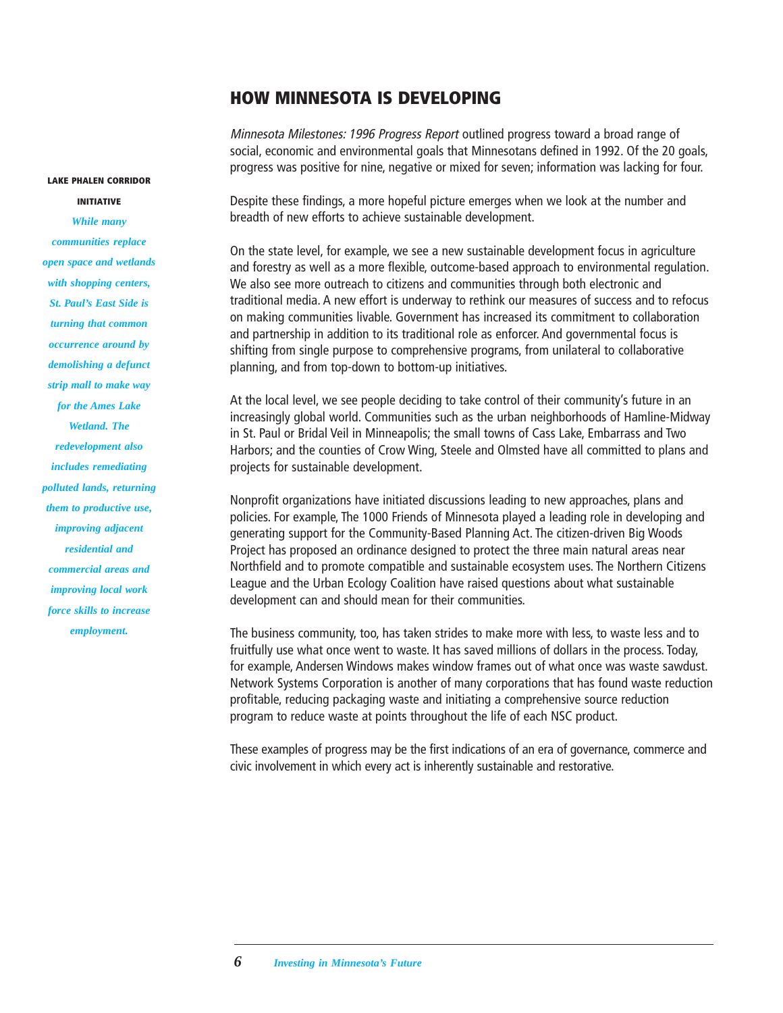#### **HOW MINNESOTA IS DEVELOPING**

Minnesota Milestones: 1996 Progress Report outlined progress toward a broad range of social, economic and environmental goals that Minnesotans defined in 1992. Of the 20 goals, progress was positive for nine, negative or mixed for seven; information was lacking for four.

Despite these findings, a more hopeful picture emerges when we look at the number and breadth of new efforts to achieve sustainable development.

On the state level, for example, we see a new sustainable development focus in agriculture and forestry as well as a more flexible, outcome-based approach to environmental regulation. We also see more outreach to citizens and communities through both electronic and traditional media. A new effort is underway to rethink our measures of success and to refocus on making communities livable. Government has increased its commitment to collaboration and partnership in addition to its traditional role as enforcer. And governmental focus is shifting from single purpose to comprehensive programs, from unilateral to collaborative planning, and from top-down to bottom-up initiatives.

At the local level, we see people deciding to take control of their community's future in an increasingly global world. Communities such as the urban neighborhoods of Hamline-Midway in St. Paul or Bridal Veil in Minneapolis; the small towns of Cass Lake, Embarrass and Two Harbors; and the counties of Crow Wing, Steele and Olmsted have all committed to plans and projects for sustainable development.

Nonprofit organizations have initiated discussions leading to new approaches, plans and policies. For example, The 1000 Friends of Minnesota played a leading role in developing and generating support for the Community-Based Planning Act. The citizen-driven Big Woods Project has proposed an ordinance designed to protect the three main natural areas near Northfield and to promote compatible and sustainable ecosystem uses. The Northern Citizens League and the Urban Ecology Coalition have raised questions about what sustainable development can and should mean for their communities.

The business community, too, has taken strides to make more with less, to waste less and to fruitfully use what once went to waste. It has saved millions of dollars in the process. Today, for example, Andersen Windows makes window frames out of what once was waste sawdust. Network Systems Corporation is another of many corporations that has found waste reduction profitable, reducing packaging waste and initiating a comprehensive source reduction program to reduce waste at points throughout the life of each NSC product.

These examples of progress may be the first indications of an era of governance, commerce and civic involvement in which every act is inherently sustainable and restorative.

*While many communities replace open space and wetlands with shopping centers, St. Paul's East Side is turning that common occurrence around by demolishing a defunct strip mall to make way for the Ames Lake Wetland. The redevelopment also includes remediating polluted lands, returning them to productive use, improving adjacent residential and commercial areas and improving local work force skills to increase employment.*

**LAKE PHALEN CORRIDOR INITIATIVE**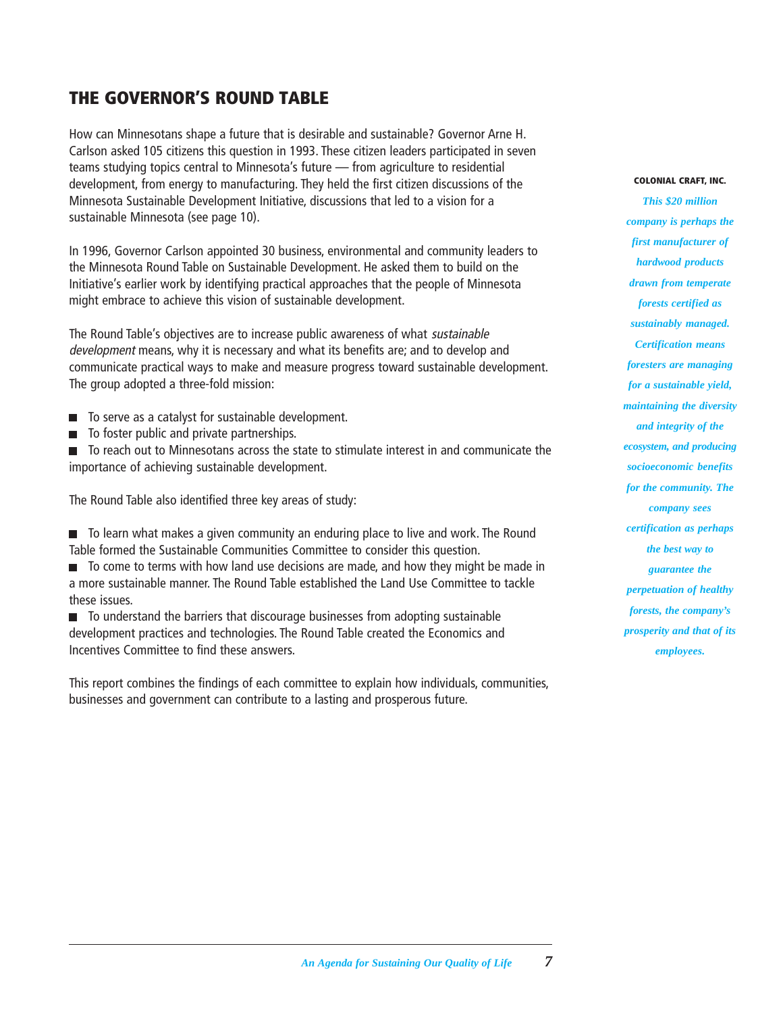#### **THE GOVERNOR'S ROUND TABLE**

How can Minnesotans shape a future that is desirable and sustainable? Governor Arne H. Carlson asked 105 citizens this question in 1993. These citizen leaders participated in seven teams studying topics central to Minnesota's future — from agriculture to residential development, from energy to manufacturing. They held the first citizen discussions of the Minnesota Sustainable Development Initiative, discussions that led to a vision for a sustainable Minnesota (see page 10).

In 1996, Governor Carlson appointed 30 business, environmental and community leaders to the Minnesota Round Table on Sustainable Development. He asked them to build on the Initiative's earlier work by identifying practical approaches that the people of Minnesota might embrace to achieve this vision of sustainable development.

The Round Table's objectives are to increase public awareness of what sustainable development means, why it is necessary and what its benefits are; and to develop and communicate practical ways to make and measure progress toward sustainable development. The group adopted a three-fold mission:

- To serve as a catalyst for sustainable development.
- To foster public and private partnerships.  $\Box$

■ To reach out to Minnesotans across the state to stimulate interest in and communicate the importance of achieving sustainable development.

The Round Table also identified three key areas of study:

■ To learn what makes a given community an enduring place to live and work. The Round Table formed the Sustainable Communities Committee to consider this question.

■ To come to terms with how land use decisions are made, and how they might be made in a more sustainable manner. The Round Table established the Land Use Committee to tackle these issues.

■ To understand the barriers that discourage businesses from adopting sustainable development practices and technologies. The Round Table created the Economics and Incentives Committee to find these answers.

This report combines the findings of each committee to explain how individuals, communities, businesses and government can contribute to a lasting and prosperous future.

#### **COLONIAL CRAFT, INC.**

*This \$20 million company is perhaps the first manufacturer of hardwood products drawn from temperate forests certified as sustainably managed. Certification means foresters are managing for a sustainable yield, maintaining the diversity and integrity of the ecosystem, and producing socioeconomic benefits for the community. The company sees certification as perhaps the best way to guarantee the perpetuation of healthy forests, the company's prosperity and that of its employees.*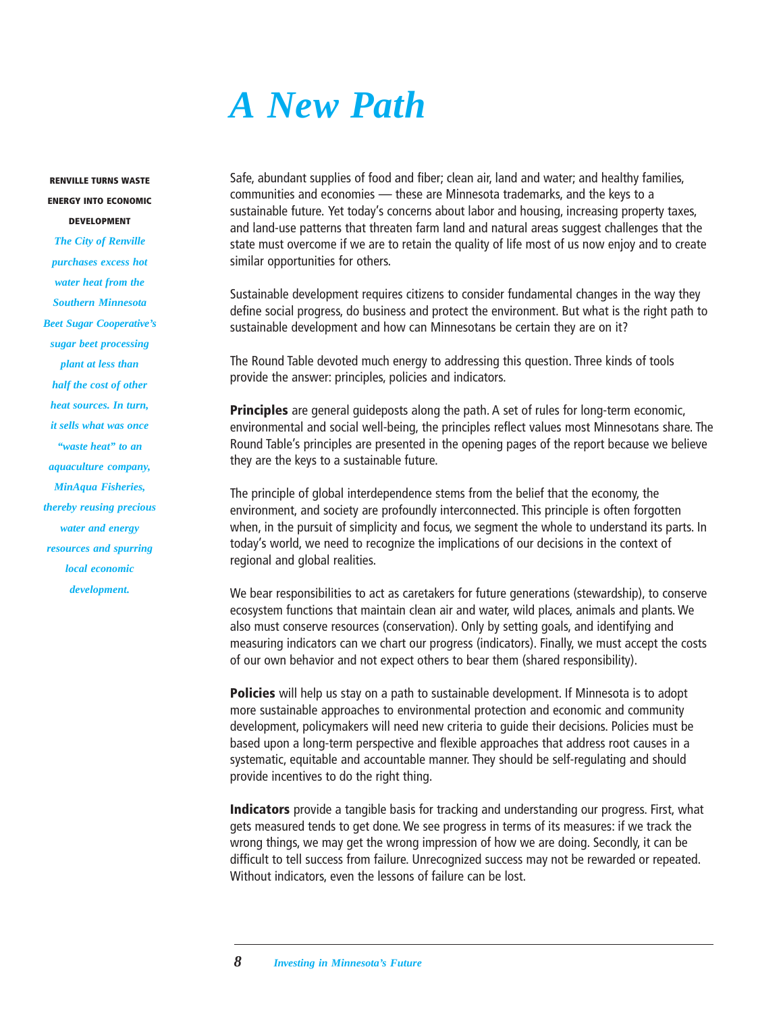## *A New Path*

<span id="page-9-0"></span>**RENVILLE TURNS WASTE ENERGY INTO ECONOMIC DEVELOPMENT**

*The City of Renville purchases excess hot water heat from the Southern Minnesota Beet Sugar Cooperative's sugar beet processing plant at less than half the cost of other heat sources. In turn, it sells what was once "waste heat" to an aquaculture company, MinAqua Fisheries, thereby reusing precious water and energy resources and spurring local economic development.*

Safe, abundant supplies of food and fiber; clean air, land and water; and healthy families, communities and economies — these are Minnesota trademarks, and the keys to a sustainable future. Yet today's concerns about labor and housing, increasing property taxes, and land-use patterns that threaten farm land and natural areas suggest challenges that the state must overcome if we are to retain the quality of life most of us now enjoy and to create similar opportunities for others.

Sustainable development requires citizens to consider fundamental changes in the way they define social progress, do business and protect the environment. But what is the right path to sustainable development and how can Minnesotans be certain they are on it?

The Round Table devoted much energy to addressing this question. Three kinds of tools provide the answer: principles, policies and indicators.

**Principles** are general guideposts along the path. A set of rules for long-term economic, environmental and social well-being, the principles reflect values most Minnesotans share. The Round Table's principles are presented in the opening pages of the report because we believe they are the keys to a sustainable future.

The principle of global interdependence stems from the belief that the economy, the environment, and society are profoundly interconnected. This principle is often forgotten when, in the pursuit of simplicity and focus, we segment the whole to understand its parts. In today's world, we need to recognize the implications of our decisions in the context of regional and global realities.

We bear responsibilities to act as caretakers for future generations (stewardship), to conserve ecosystem functions that maintain clean air and water, wild places, animals and plants. We also must conserve resources (conservation). Only by setting goals, and identifying and measuring indicators can we chart our progress (indicators). Finally, we must accept the costs of our own behavior and not expect others to bear them (shared responsibility).

**Policies** will help us stay on a path to sustainable development. If Minnesota is to adopt more sustainable approaches to environmental protection and economic and community development, policymakers will need new criteria to guide their decisions. Policies must be based upon a long-term perspective and flexible approaches that address root causes in a systematic, equitable and accountable manner. They should be self-regulating and should provide incentives to do the right thing.

**Indicators** provide a tangible basis for tracking and understanding our progress. First, what gets measured tends to get done. We see progress in terms of its measures: if we track the wrong things, we may get the wrong impression of how we are doing. Secondly, it can be difficult to tell success from failure. Unrecognized success may not be rewarded or repeated. Without indicators, even the lessons of failure can be lost.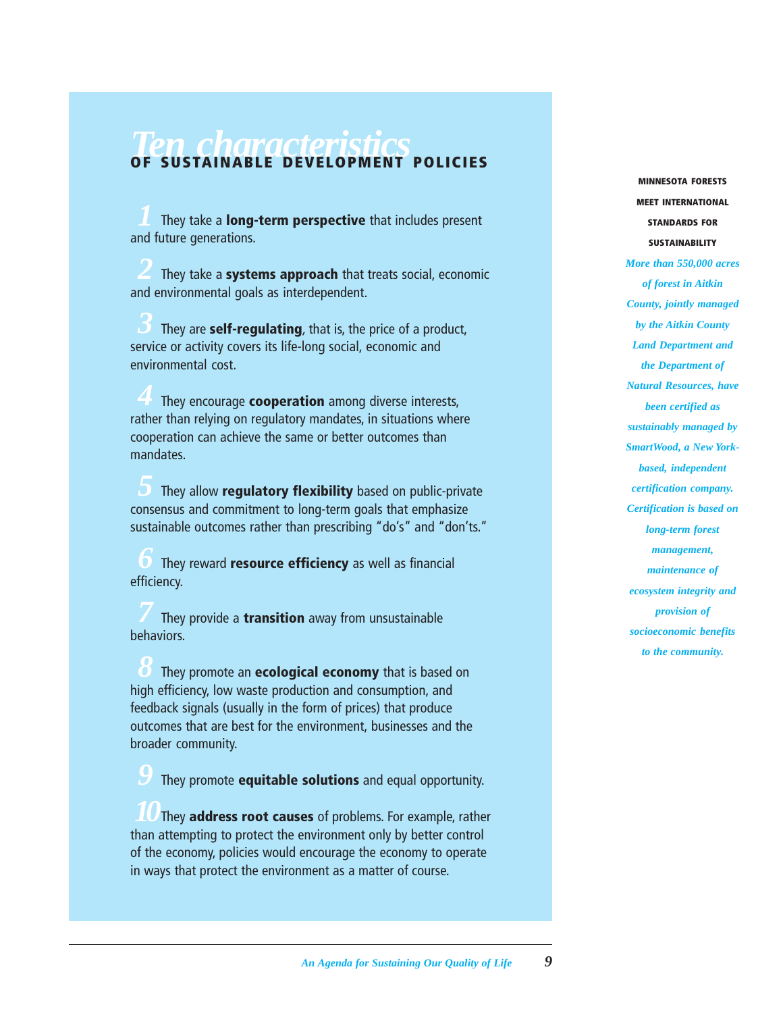## **Ten characteristics**<br>OF SUSTAINABLE DEVELOPMENT POLICIES

*1* They take a **long-term perspective** that includes present and future generations.

*2* They take a **systems approach** that treats social, economic and environmental goals as interdependent.

*3* They are **self-regulating**, that is, the price of a product, service or activity covers its life-long social, economic and environmental cost.

*4* They encourage **cooperation** among diverse interests, rather than relying on regulatory mandates, in situations where cooperation can achieve the same or better outcomes than mandates.

*5* They allow **regulatory flexibility** based on public-private consensus and commitment to long-term goals that emphasize sustainable outcomes rather than prescribing "do's" and "don'ts."

*6* They reward **resource efficiency** as well as financial efficiency.

*7* They provide a **transition** away from unsustainable behaviors.

*8* They promote an **ecological economy** that is based on high efficiency, low waste production and consumption, and feedback signals (usually in the form of prices) that produce outcomes that are best for the environment, businesses and the broader community.

*9* They promote **equitable solutions** and equal opportunity.

*10*They **address root causes** of problems. For example, rather than attempting to protect the environment only by better control of the economy, policies would encourage the economy to operate in ways that protect the environment as a matter of course.

**MINNESOTA FORESTS MEET INTERNATIONAL STANDARDS FOR SUSTAINABILITY** *More than 550,000 acres of forest in Aitkin County, jointly managed by the Aitkin County Land Department and the Department of Natural Resources, have been certified as sustainably managed by SmartWood, a New Yorkbased, independent certification company. Certification is based on long-term forest management, maintenance of ecosystem integrity and provision of socioeconomic benefits to the community.*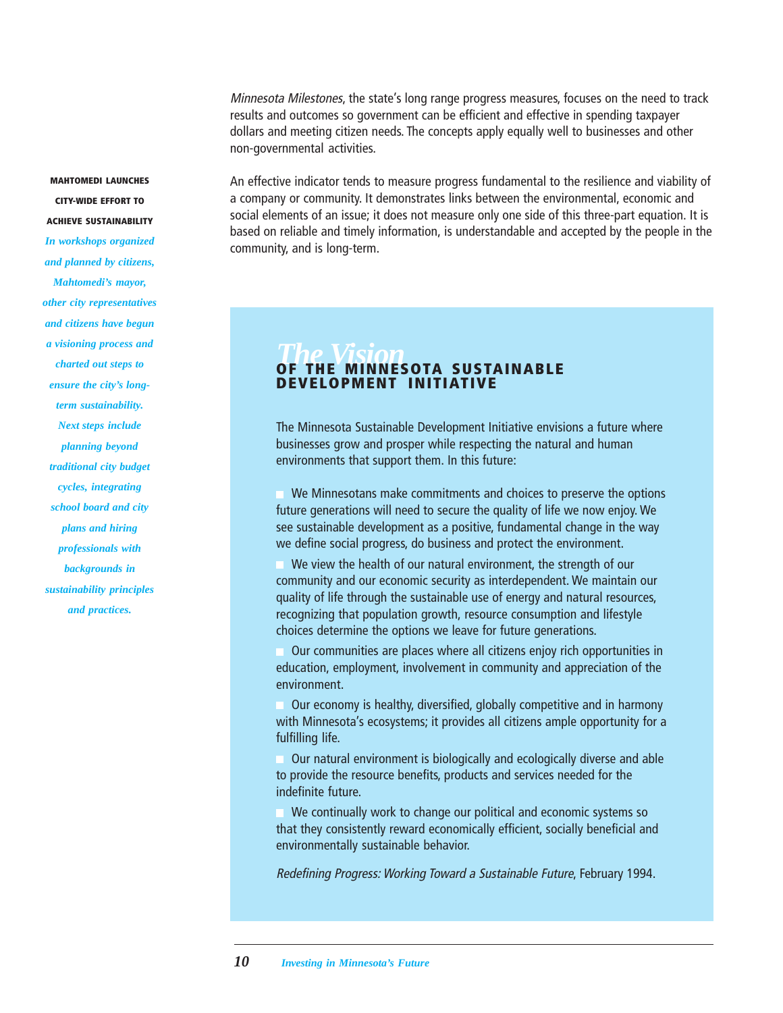Minnesota Milestones, the state's long range progress measures, focuses on the need to track results and outcomes so government can be efficient and effective in spending taxpayer dollars and meeting citizen needs. The concepts apply equally well to businesses and other non-governmental activities.

An effective indicator tends to measure progress fundamental to the resilience and viability of a company or community. It demonstrates links between the environmental, economic and social elements of an issue; it does not measure only one side of this three-part equation. It is based on reliable and timely information, is understandable and accepted by the people in the community, and is long-term.

### **OF THE MINNESOTA SUSTAINABLE DEVELOPMENT INITIATIVE**

The Minnesota Sustainable Development Initiative envisions a future where businesses grow and prosper while respecting the natural and human environments that support them. In this future:

We Minnesotans make commitments and choices to preserve the options future generations will need to secure the quality of life we now enjoy. We see sustainable development as a positive, fundamental change in the way we define social progress, do business and protect the environment.

We view the health of our natural environment, the strength of our community and our economic security as interdependent. We maintain our quality of life through the sustainable use of energy and natural resources, recognizing that population growth, resource consumption and lifestyle choices determine the options we leave for future generations.

Our communities are places where all citizens enjoy rich opportunities in education, employment, involvement in community and appreciation of the environment.

Our economy is healthy, diversified, globally competitive and in harmony with Minnesota's ecosystems; it provides all citizens ample opportunity for a fulfilling life.

Our natural environment is biologically and ecologically diverse and able to provide the resource benefits, products and services needed for the indefinite future.

We continually work to change our political and economic systems so that they consistently reward economically efficient, socially beneficial and environmentally sustainable behavior.

Redefining Progress: Working Toward a Sustainable Future, February 1994.

**CITY-WIDE EFFORT TO ACHIEVE SUSTAINABILITY** *In workshops organized and planned by citizens, Mahtomedi's mayor, other city representatives and citizens have begun a visioning process and charted out steps to ensure the city's longterm sustainability. Next steps include planning beyond traditional city budget cycles, integrating school board and city plans and hiring professionals with backgrounds in sustainability principles and practices.*

**MAHTOMEDI LAUNCHES**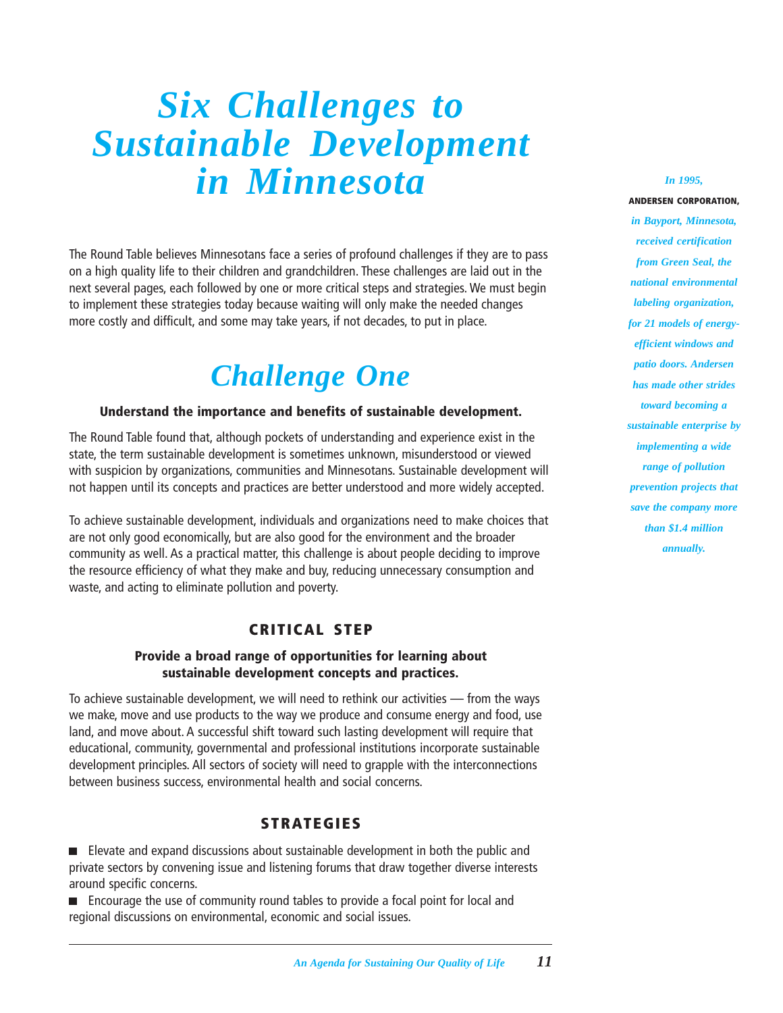## <span id="page-12-0"></span>*Six Challenges to Sustainable Development in Minnesota*

The Round Table believes Minnesotans face a series of profound challenges if they are to pass on a high quality life to their children and grandchildren. These challenges are laid out in the next several pages, each followed by one or more critical steps and strategies. We must begin to implement these strategies today because waiting will only make the needed changes more costly and difficult, and some may take years, if not decades, to put in place.

## *Challenge One*

#### **Understand the importance and benefits of sustainable development.**

The Round Table found that, although pockets of understanding and experience exist in the state, the term sustainable development is sometimes unknown, misunderstood or viewed with suspicion by organizations, communities and Minnesotans. Sustainable development will not happen until its concepts and practices are better understood and more widely accepted.

To achieve sustainable development, individuals and organizations need to make choices that are not only good economically, but are also good for the environment and the broader community as well. As a practical matter, this challenge is about people deciding to improve the resource efficiency of what they make and buy, reducing unnecessary consumption and waste, and acting to eliminate pollution and poverty.

#### **CRITICAL STEP**

#### **Provide a broad range of opportunities for learning about sustainable development concepts and practices.**

To achieve sustainable development, we will need to rethink our activities — from the ways we make, move and use products to the way we produce and consume energy and food, use land, and move about. A successful shift toward such lasting development will require that educational, community, governmental and professional institutions incorporate sustainable development principles. All sectors of society will need to grapple with the interconnections between business success, environmental health and social concerns.

#### **STRATEGIES**

**Elevate and expand discussions about sustainable development in both the public and** private sectors by convening issue and listening forums that draw together diverse interests around specific concerns.

**Encourage the use of community round tables to provide a focal point for local and** regional discussions on environmental, economic and social issues.

#### *In 1995,*

**ANDERSEN CORPORATION,** *in Bayport, Minnesota, received certification from Green Seal, the national environmental labeling organization, for 21 models of energyefficient windows and patio doors. Andersen has made other strides toward becoming a sustainable enterprise by implementing a wide range of pollution prevention projects that save the company more than \$1.4 million annually.*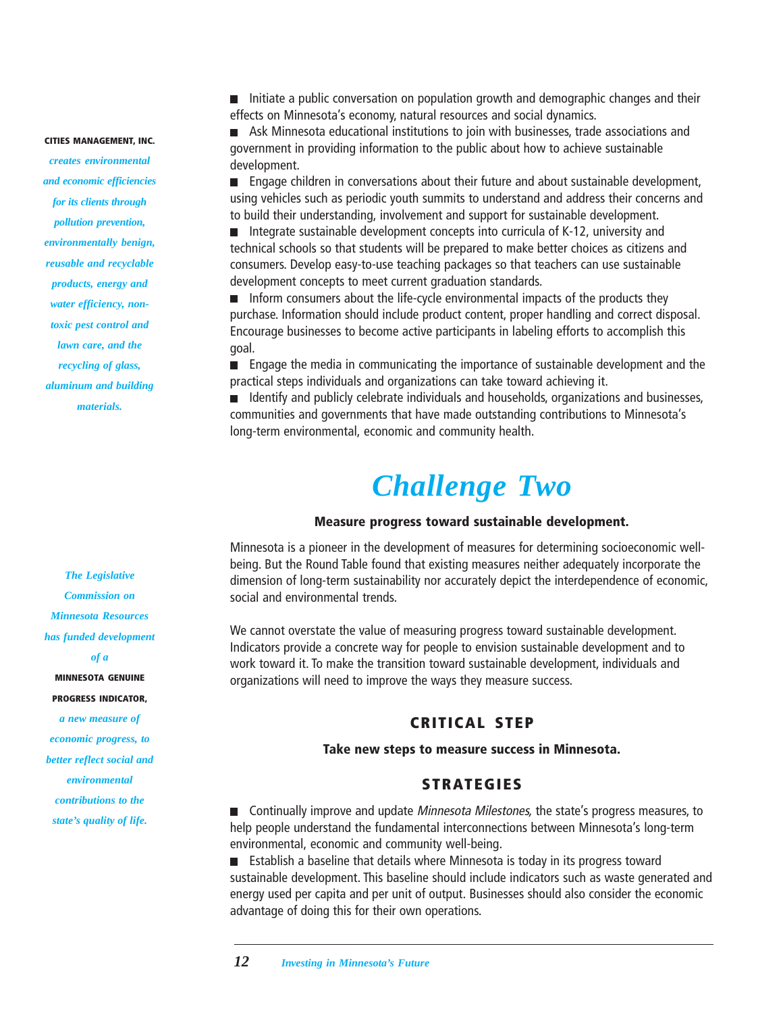#### **CITIES MANAGEMENT, INC.**

*creates environmental and economic efficiencies for its clients through pollution prevention, environmentally benign, reusable and recyclable products, energy and water efficiency, nontoxic pest control and lawn care, and the recycling of glass, aluminum and building materials.*

*The Legislative Commission on Minnesota Resources has funded development of a* **MINNESOTA GENUINE PROGRESS INDICATOR,** *a new measure of economic progress, to*

*better reflect social and environmental contributions to the state's quality of life.*

Initiate a public conversation on population growth and demographic changes and their effects on Minnesota's economy, natural resources and social dynamics.

Ask Minnesota educational institutions to join with businesses, trade associations and government in providing information to the public about how to achieve sustainable development.

**E** Engage children in conversations about their future and about sustainable development, using vehicles such as periodic youth summits to understand and address their concerns and to build their understanding, involvement and support for sustainable development.

■ Integrate sustainable development concepts into curricula of K-12, university and technical schools so that students will be prepared to make better choices as citizens and consumers. Develop easy-to-use teaching packages so that teachers can use sustainable development concepts to meet current graduation standards.

Inform consumers about the life-cycle environmental impacts of the products they  $\blacksquare$ purchase. Information should include product content, proper handling and correct disposal. Encourage businesses to become active participants in labeling efforts to accomplish this goal.

Engage the media in communicating the importance of sustainable development and the practical steps individuals and organizations can take toward achieving it.

Identify and publicly celebrate individuals and households, organizations and businesses, communities and governments that have made outstanding contributions to Minnesota's long-term environmental, economic and community health.

### *Challenge Two*

#### **Measure progress toward sustainable development.**

Minnesota is a pioneer in the development of measures for determining socioeconomic wellbeing. But the Round Table found that existing measures neither adequately incorporate the dimension of long-term sustainability nor accurately depict the interdependence of economic, social and environmental trends.

We cannot overstate the value of measuring progress toward sustainable development. Indicators provide a concrete way for people to envision sustainable development and to work toward it. To make the transition toward sustainable development, individuals and organizations will need to improve the ways they measure success.

#### **CRITICAL STEP**

#### **Take new steps to measure success in Minnesota.**

#### **STRATEGIES**

**n** Continually improve and update *Minnesota Milestones*, the state's progress measures, to help people understand the fundamental interconnections between Minnesota's long-term environmental, economic and community well-being.

■ Establish a baseline that details where Minnesota is today in its progress toward sustainable development. This baseline should include indicators such as waste generated and energy used per capita and per unit of output. Businesses should also consider the economic advantage of doing this for their own operations.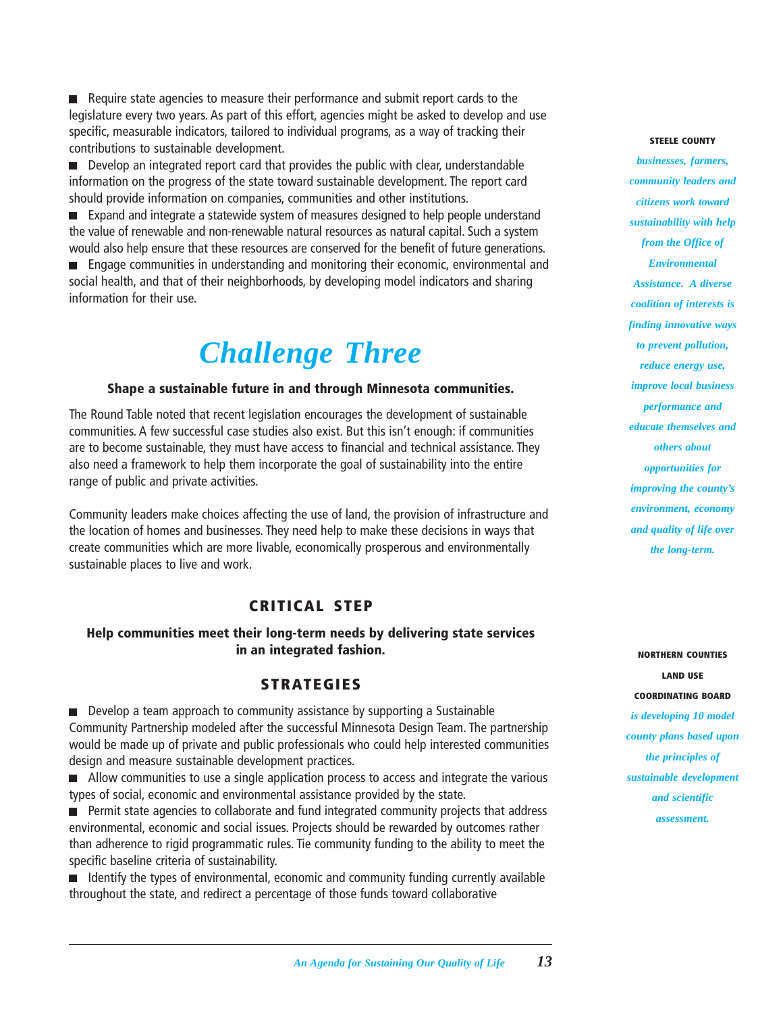Require state agencies to measure their performance and submit report cards to the legislature every two years. As part of this effort, agencies might be asked to develop and use specific, measurable indicators, tailored to individual programs, as a way of tracking their contributions to sustainable development.

Develop an integrated report card that provides the public with clear, understandable information on the progress of the state toward sustainable development. The report card should provide information on companies, communities and other institutions.

Expand and integrate a statewide system of measures designed to help people understand the value of renewable and non-renewable natural resources as natural capital. Such a system would also help ensure that these resources are conserved for the benefit of future generations.

Engage communities in understanding and monitoring their economic, environmental and social health, and that of their neighborhoods, by developing model indicators and sharing information for their use.

## *Challenge Three*

#### **Shape a sustainable future in and through Minnesota communities.**

The Round Table noted that recent legislation encourages the development of sustainable communities. A few successful case studies also exist. But this isn't enough: if communities are to become sustainable, they must have access to financial and technical assistance. They also need a framework to help them incorporate the goal of sustainability into the entire range of public and private activities.

Community leaders make choices affecting the use of land, the provision of infrastructure and the location of homes and businesses. They need help to make these decisions in ways that create communities which are more livable, economically prosperous and environmentally sustainable places to live and work.

#### **CRITICAL STEP**

#### **Help communities meet their long-term needs by delivering state services in an integrated fashion.**

#### **STRATEGIES**

Develop a team approach to community assistance by supporting a Sustainable Community Partnership modeled after the successful Minnesota Design Team. The partnership would be made up of private and public professionals who could help interested communities design and measure sustainable development practices.

Allow communities to use a single application process to access and integrate the various types of social, economic and environmental assistance provided by the state.

**Permit state agencies to collaborate and fund integrated community projects that address** environmental, economic and social issues. Projects should be rewarded by outcomes rather than adherence to rigid programmatic rules. Tie community funding to the ability to meet the specific baseline criteria of sustainability.

**If I**dentify the types of environmental, economic and community funding currently available throughout the state, and redirect a percentage of those funds toward collaborative

#### **STEELE COUNTY**

*businesses, farmers, community leaders and citizens work toward sustainability with help from the Office of Environmental Assistance. A diverse coalition of interests is finding innovative ways to prevent pollution, reduce energy use, improve local business performance and educate themselves and others about opportunities for improving the county's environment, economy and quality of life over the long-term.*

**NORTHERN COUNTIES LAND USE COORDINATING BOARD** *is developing 10 model county plans based upon the principles of sustainable development and scientific assessment.*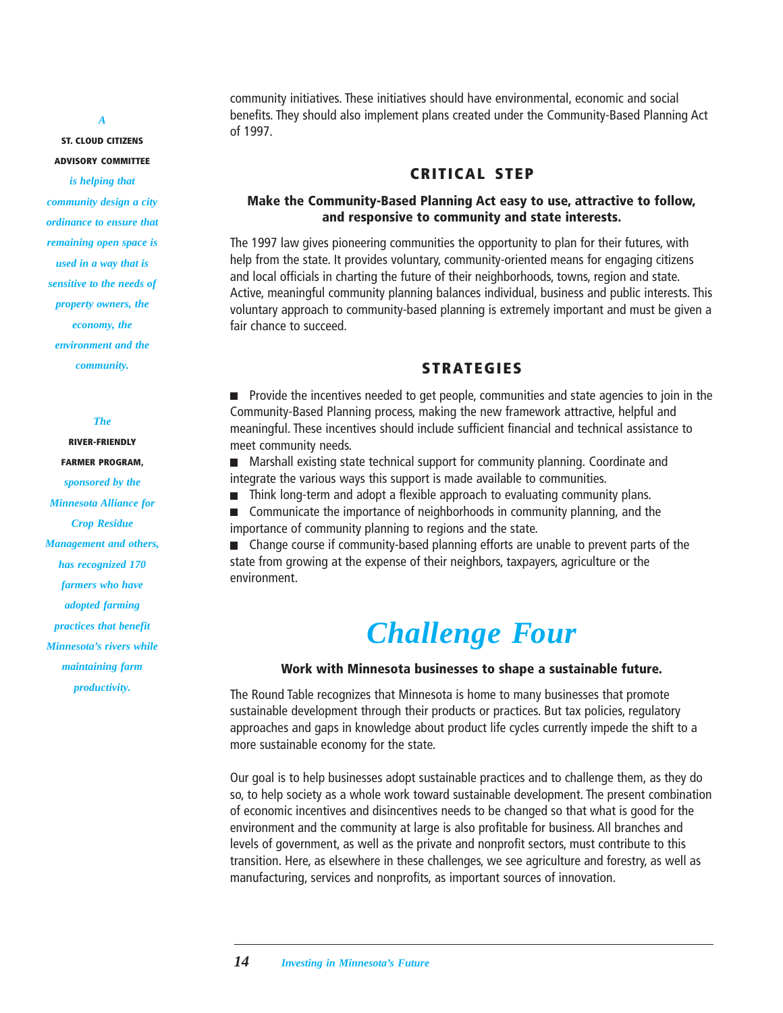#### *A*

**ST. CLOUD CITIZENS**

**ADVISORY COMMITTEE**

*is helping that community design a city ordinance to ensure that remaining open space is used in a way that is sensitive to the needs of property owners, the economy, the environment and the community.*

#### *The*

**RIVER-FRIENDLY FARMER PROGRAM,** *sponsored by the Minnesota Alliance for Crop Residue Management and others, has recognized 170 farmers who have adopted farming practices that benefit Minnesota's rivers while maintaining farm productivity.*

community initiatives. These initiatives should have environmental, economic and social benefits. They should also implement plans created under the Community-Based Planning Act of 1997.

#### **CRITICAL STEP**

#### **Make the Community-Based Planning Act easy to use, attractive to follow, and responsive to community and state interests.**

The 1997 law gives pioneering communities the opportunity to plan for their futures, with help from the state. It provides voluntary, community-oriented means for engaging citizens and local officials in charting the future of their neighborhoods, towns, region and state. Active, meaningful community planning balances individual, business and public interests. This voluntary approach to community-based planning is extremely important and must be given a fair chance to succeed.

#### **STRATEGIES**

**Provide the incentives needed to get people, communities and state agencies to join in the** Community-Based Planning process, making the new framework attractive, helpful and meaningful. These incentives should include sufficient financial and technical assistance to meet community needs.

■ Marshall existing state technical support for community planning. Coordinate and integrate the various ways this support is made available to communities.

Think long-term and adopt a flexible approach to evaluating community plans.  $\Box$ 

 $\Box$ Communicate the importance of neighborhoods in community planning, and the importance of community planning to regions and the state.

■ Change course if community-based planning efforts are unable to prevent parts of the state from growing at the expense of their neighbors, taxpayers, agriculture or the environment.

### *Challenge Four*

#### **Work with Minnesota businesses to shape a sustainable future.**

The Round Table recognizes that Minnesota is home to many businesses that promote sustainable development through their products or practices. But tax policies, regulatory approaches and gaps in knowledge about product life cycles currently impede the shift to a more sustainable economy for the state.

Our goal is to help businesses adopt sustainable practices and to challenge them, as they do so, to help society as a whole work toward sustainable development. The present combination of economic incentives and disincentives needs to be changed so that what is good for the environment and the community at large is also profitable for business. All branches and levels of government, as well as the private and nonprofit sectors, must contribute to this transition. Here, as elsewhere in these challenges, we see agriculture and forestry, as well as manufacturing, services and nonprofits, as important sources of innovation.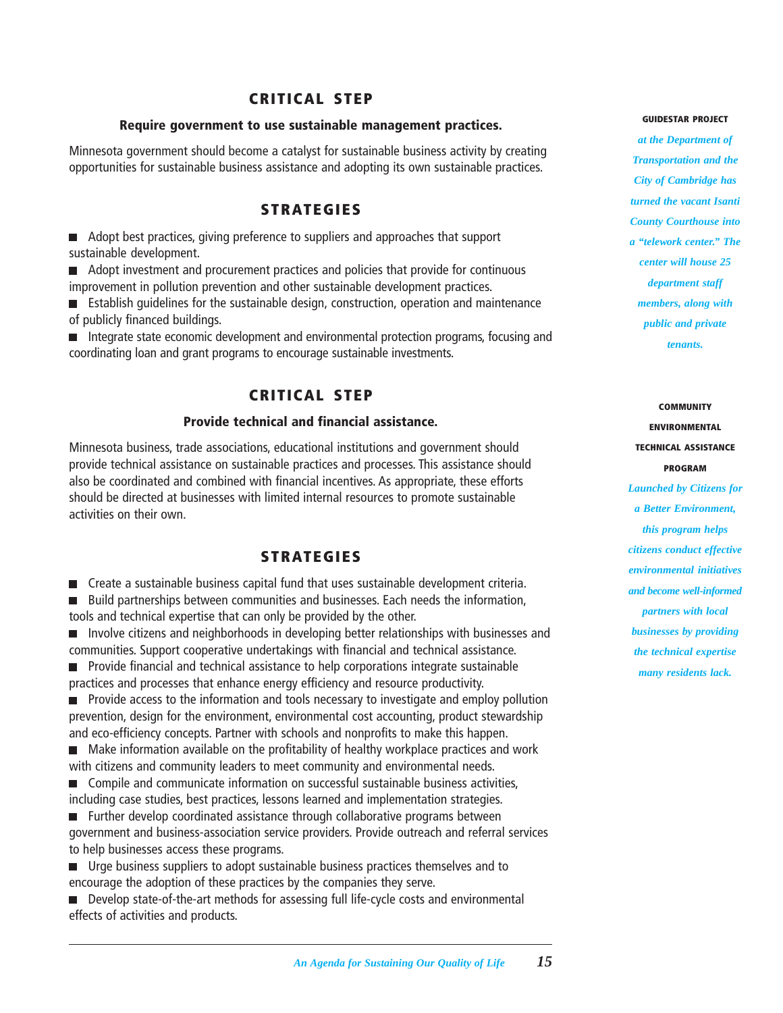#### **CRITICAL STEP**

#### **Require government to use sustainable management practices.**

Minnesota government should become a catalyst for sustainable business activity by creating opportunities for sustainable business assistance and adopting its own sustainable practices.

#### **STRATEGIES**

■ Adopt best practices, giving preference to suppliers and approaches that support sustainable development.

Adopt investment and procurement practices and policies that provide for continuous improvement in pollution prevention and other sustainable development practices.

Establish guidelines for the sustainable design, construction, operation and maintenance of publicly financed buildings.

Integrate state economic development and environmental protection programs, focusing and coordinating loan and grant programs to encourage sustainable investments.

#### **CRITICAL STEP**

#### **Provide technical and financial assistance.**

Minnesota business, trade associations, educational institutions and government should provide technical assistance on sustainable practices and processes. This assistance should also be coordinated and combined with financial incentives. As appropriate, these efforts should be directed at businesses with limited internal resources to promote sustainable activities on their own.

#### **STRATEGIES**

Create a sustainable business capital fund that uses sustainable development criteria.

Build partnerships between communities and businesses. Each needs the information, tools and technical expertise that can only be provided by the other.

**Involve citizens and neighborhoods in developing better relationships with businesses and** communities. Support cooperative undertakings with financial and technical assistance.

**Provide financial and technical assistance to help corporations integrate sustainable** practices and processes that enhance energy efficiency and resource productivity.

**Provide access to the information and tools necessary to investigate and employ pollution** prevention, design for the environment, environmental cost accounting, product stewardship and eco-efficiency concepts. Partner with schools and nonprofits to make this happen.

Make information available on the profitability of healthy workplace practices and work with citizens and community leaders to meet community and environmental needs.

Compile and communicate information on successful sustainable business activities, including case studies, best practices, lessons learned and implementation strategies.

**Further develop coordinated assistance through collaborative programs between** government and business-association service providers. Provide outreach and referral services to help businesses access these programs.

■ Urge business suppliers to adopt sustainable business practices themselves and to encourage the adoption of these practices by the companies they serve.

■ Develop state-of-the-art methods for assessing full life-cycle costs and environmental effects of activities and products.

#### **GUIDESTAR PROJECT**

*at the Department of Transportation and the City of Cambridge has turned the vacant Isanti County Courthouse into a "telework center." The center will house 25 department staff members, along with public and private tenants.*

**COMMUNITY ENVIRONMENTAL TECHNICAL ASSISTANCE PROGRAM** *Launched by Citizens for a Better Environment, this program helps citizens conduct effective environmental initiatives and become well-informed partners with local businesses by providing the technical expertise many residents lack.*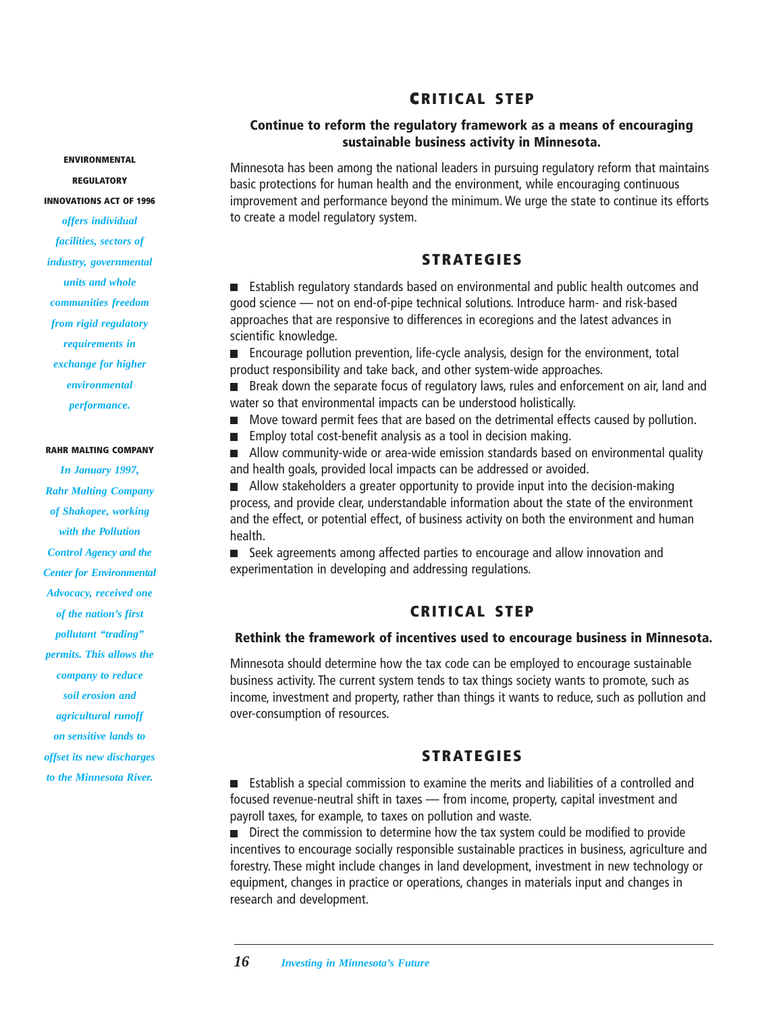#### **CRITICAL STEP C**

#### **Continue to reform the regulatory framework as a means of encouraging sustainable business activity in Minnesota.**

**ENVIRONMENTAL**

**REGULATORY**

#### **INNOVATIONS ACT OF 1996**

*offers individual facilities, sectors of industry, governmental units and whole communities freedom from rigid regulatory requirements in exchange for higher environmental performance.*

#### **RAHR MALTING COMPANY**

*In January 1997, Rahr Malting Company of Shakopee, working with the Pollution Control Agency and the Center for Environmental Advocacy, received one of the nation's first pollutant "trading" permits. This allows the company to reduce soil erosion and agricultural runoff on sensitive lands to offset its new discharges to the Minnesota River.*

Minnesota has been among the national leaders in pursuing regulatory reform that maintains basic protections for human health and the environment, while encouraging continuous improvement and performance beyond the minimum. We urge the state to continue its efforts to create a model regulatory system.

#### **STRATEGIES**

Establish regulatory standards based on environmental and public health outcomes and good science — not on end-of-pipe technical solutions. Introduce harm- and risk-based approaches that are responsive to differences in ecoregions and the latest advances in scientific knowledge.

Encourage pollution prevention, life-cycle analysis, design for the environment, total product responsibility and take back, and other system-wide approaches.

Break down the separate focus of regulatory laws, rules and enforcement on air, land and  $\blacksquare$ water so that environmental impacts can be understood holistically.

- Move toward permit fees that are based on the detrimental effects caused by pollution.  $\blacksquare$
- Employ total cost-benefit analysis as a tool in decision making.  $\blacksquare$

Allow community-wide or area-wide emission standards based on environmental quality  $\blacksquare$ and health goals, provided local impacts can be addressed or avoided.

Allow stakeholders a greater opportunity to provide input into the decision-making  $\blacksquare$ process, and provide clear, understandable information about the state of the environment and the effect, or potential effect, of business activity on both the environment and human health.

■ Seek agreements among affected parties to encourage and allow innovation and experimentation in developing and addressing regulations.

#### **CRITICAL STEP**

#### **Rethink the framework of incentives used to encourage business in Minnesota.**

Minnesota should determine how the tax code can be employed to encourage sustainable business activity. The current system tends to tax things society wants to promote, such as income, investment and property, rather than things it wants to reduce, such as pollution and over-consumption of resources.

#### **STRATEGIES**

Establish a special commission to examine the merits and liabilities of a controlled and focused revenue-neutral shift in taxes — from income, property, capital investment and payroll taxes, for example, to taxes on pollution and waste.

Direct the commission to determine how the tax system could be modified to provide incentives to encourage socially responsible sustainable practices in business, agriculture and forestry. These might include changes in land development, investment in new technology or equipment, changes in practice or operations, changes in materials input and changes in research and development.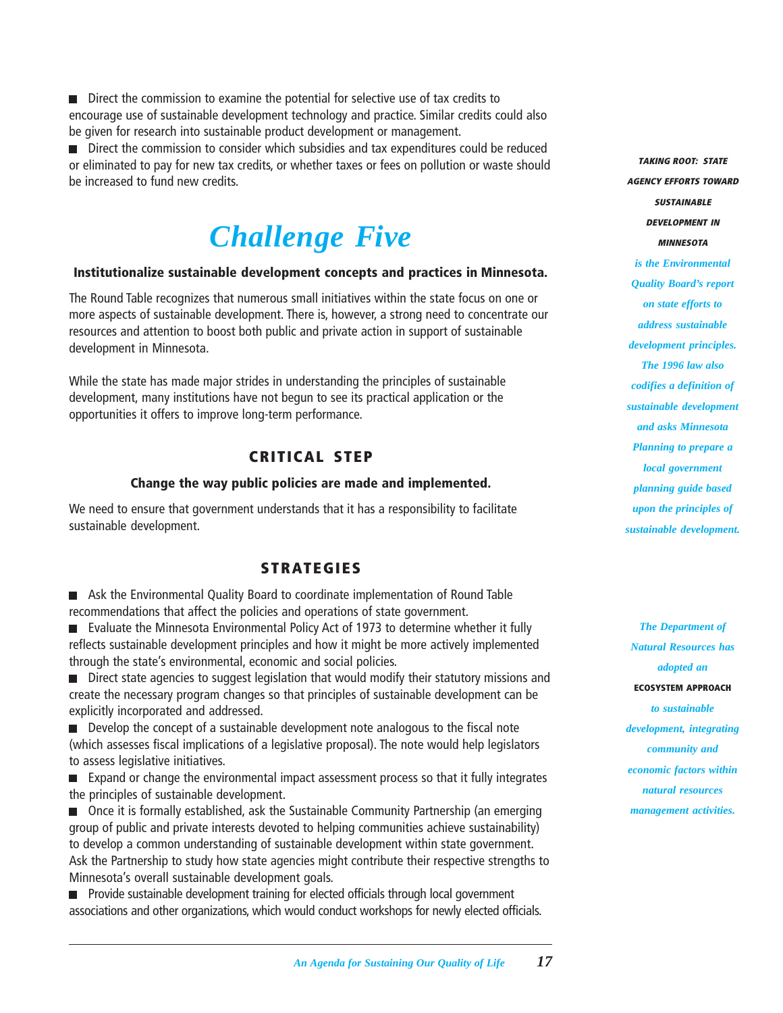Direct the commission to examine the potential for selective use of tax credits to encourage use of sustainable development technology and practice. Similar credits could also be given for research into sustainable product development or management.

Direct the commission to consider which subsidies and tax expenditures could be reduced or eliminated to pay for new tax credits, or whether taxes or fees on pollution or waste should be increased to fund new credits.

## *Challenge Five*

#### **Institutionalize sustainable development concepts and practices in Minnesota.**

The Round Table recognizes that numerous small initiatives within the state focus on one or more aspects of sustainable development. There is, however, a strong need to concentrate our resources and attention to boost both public and private action in support of sustainable development in Minnesota.

While the state has made major strides in understanding the principles of sustainable development, many institutions have not begun to see its practical application or the opportunities it offers to improve long-term performance.

#### **CRITICAL STEP**

#### **Change the way public policies are made and implemented.**

We need to ensure that government understands that it has a responsibility to facilitate sustainable development.

#### **STRATEGIES**

Ask the Environmental Quality Board to coordinate implementation of Round Table recommendations that affect the policies and operations of state government.

Evaluate the Minnesota Environmental Policy Act of 1973 to determine whether it fully reflects sustainable development principles and how it might be more actively implemented through the state's environmental, economic and social policies.

Direct state agencies to suggest legislation that would modify their statutory missions and create the necessary program changes so that principles of sustainable development can be explicitly incorporated and addressed.

Develop the concept of a sustainable development note analogous to the fiscal note (which assesses fiscal implications of a legislative proposal). The note would help legislators to assess legislative initiatives.

**EXPALCE EXPALCE EXAMPLE IN EXPANDING EXPANDING IN EXPALCE EXPALCE EXPALCE EXPALCE EXPALCE EXPALCE** EXPANDING EXPA the principles of sustainable development.

Once it is formally established, ask the Sustainable Community Partnership (an emerging group of public and private interests devoted to helping communities achieve sustainability) to develop a common understanding of sustainable development within state government. Ask the Partnership to study how state agencies might contribute their respective strengths to Minnesota's overall sustainable development goals.

**Provide sustainable development training for elected officials through local government** associations and other organizations, which would conduct workshops for newly elected officials.

**TAKING ROOT: STATE AGENCY EFFORTS TOWARD SUSTAINABLE DEVELOPMENT IN MINNESOTA** *is the Environmental Quality Board's report on state efforts to address sustainable development principles. The 1996 law also codifies a definition of sustainable development and asks Minnesota Planning to prepare a local government planning guide based upon the principles of sustainable development.*

*The Department of Natural Resources has adopted an* **ECOSYSTEM APPROACH** *to sustainable development, integrating community and economic factors within natural resources management activities.*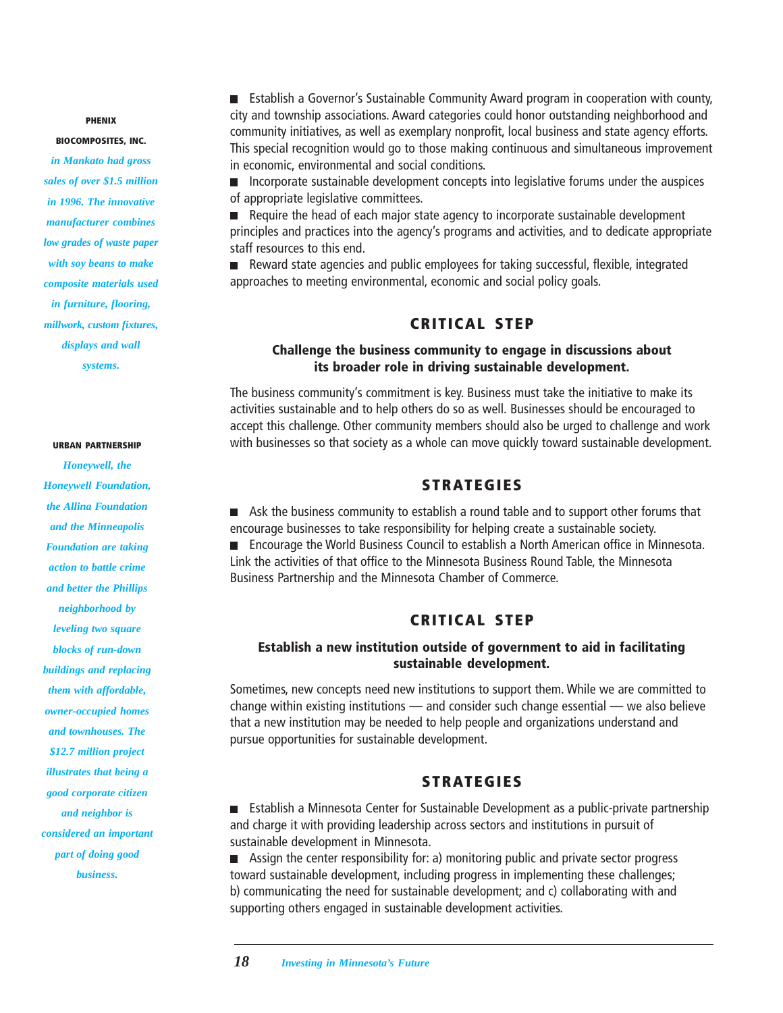#### **PHENIX**

**BIOCOMPOSITES, INC.**

*in Mankato had gross sales of over \$1.5 million in 1996. The innovative manufacturer combines low grades of waste paper with soy beans to make composite materials used in furniture, flooring, millwork, custom fixtures, displays and wall systems.*

#### **URBAN PARTNERSHIP**

*Honeywell, the Honeywell Foundation, the Allina Foundation and the Minneapolis Foundation are taking action to battle crime and better the Phillips neighborhood by leveling two square blocks of run-down buildings and replacing them with affordable, owner-occupied homes and townhouses. The \$12.7 million project illustrates that being a good corporate citizen and neighbor is considered an important part of doing good business.*

Establish a Governor's Sustainable Community Award program in cooperation with county, city and township associations. Award categories could honor outstanding neighborhood and community initiatives, as well as exemplary nonprofit, local business and state agency efforts. This special recognition would go to those making continuous and simultaneous improvement in economic, environmental and social conditions.

**Incorporate sustainable development concepts into legislative forums under the auspices** of appropriate legislative committees.

Require the head of each major state agency to incorporate sustainable development principles and practices into the agency's programs and activities, and to dedicate appropriate staff resources to this end.

■ Reward state agencies and public employees for taking successful, flexible, integrated approaches to meeting environmental, economic and social policy goals.

#### **CRITICAL STEP**

#### **Challenge the business community to engage in discussions about its broader role in driving sustainable development.**

The business community's commitment is key. Business must take the initiative to make its activities sustainable and to help others do so as well. Businesses should be encouraged to accept this challenge. Other community members should also be urged to challenge and work with businesses so that society as a whole can move quickly toward sustainable development.

#### **STRATEGIES**

Ask the business community to establish a round table and to support other forums that encourage businesses to take responsibility for helping create a sustainable society. ■ Encourage the World Business Council to establish a North American office in Minnesota. Link the activities of that office to the Minnesota Business Round Table, the Minnesota Business Partnership and the Minnesota Chamber of Commerce.

#### **CRITICAL STEP**

#### **Establish a new institution outside of government to aid in facilitating sustainable development.**

Sometimes, new concepts need new institutions to support them. While we are committed to change within existing institutions — and consider such change essential — we also believe that a new institution may be needed to help people and organizations understand and pursue opportunities for sustainable development.

#### **STRATEGIES**

Establish a Minnesota Center for Sustainable Development as a public-private partnership and charge it with providing leadership across sectors and institutions in pursuit of sustainable development in Minnesota.

Assign the center responsibility for: a) monitoring public and private sector progress  $\mathcal{L}_{\mathcal{A}}$ toward sustainable development, including progress in implementing these challenges; b) communicating the need for sustainable development; and c) collaborating with and supporting others engaged in sustainable development activities.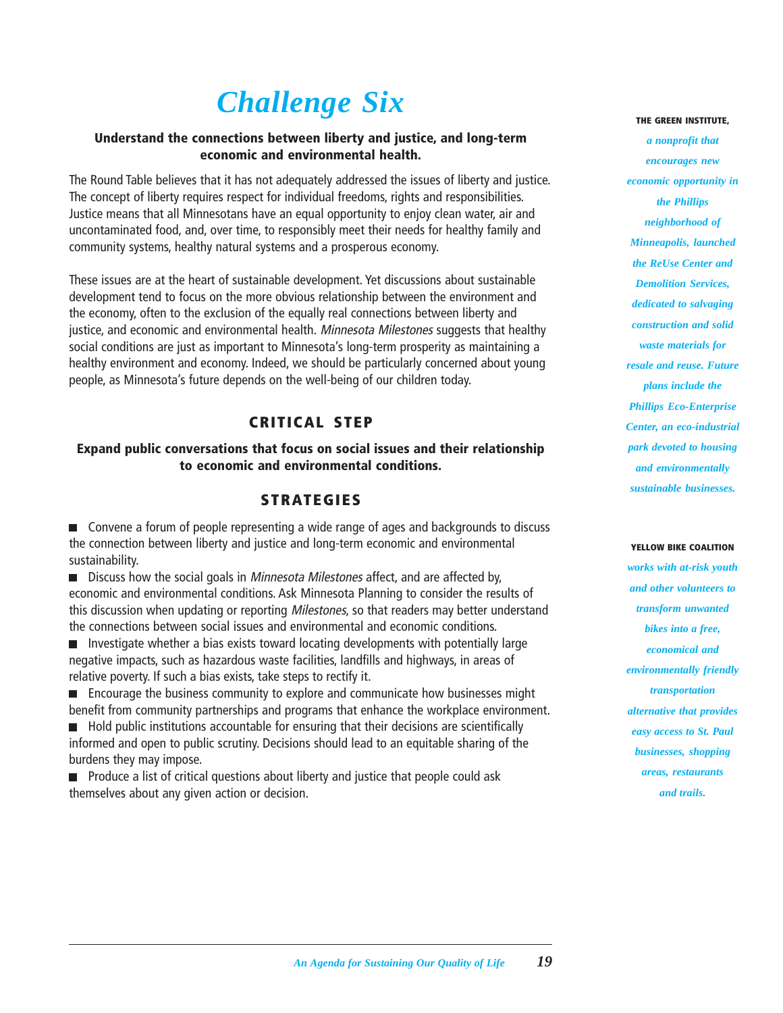## *Challenge Six*

#### **Understand the connections between liberty and justice, and long-term economic and environmental health.**

The Round Table believes that it has not adequately addressed the issues of liberty and justice. The concept of liberty requires respect for individual freedoms, rights and responsibilities. Justice means that all Minnesotans have an equal opportunity to enjoy clean water, air and uncontaminated food, and, over time, to responsibly meet their needs for healthy family and community systems, healthy natural systems and a prosperous economy.

These issues are at the heart of sustainable development. Yet discussions about sustainable development tend to focus on the more obvious relationship between the environment and the economy, often to the exclusion of the equally real connections between liberty and justice, and economic and environmental health. Minnesota Milestones suggests that healthy social conditions are just as important to Minnesota's long-term prosperity as maintaining a healthy environment and economy. Indeed, we should be particularly concerned about young people, as Minnesota's future depends on the well-being of our children today.

#### **CRITICAL STEP**

#### **Expand public conversations that focus on social issues and their relationship to economic and environmental conditions.**

#### **STRATEGIES**

■ Convene a forum of people representing a wide range of ages and backgrounds to discuss the connection between liberty and justice and long-term economic and environmental sustainability.

■ Discuss how the social goals in *Minnesota Milestones* affect, and are affected by, economic and environmental conditions. Ask Minnesota Planning to consider the results of this discussion when updating or reporting *Milestones*, so that readers may better understand the connections between social issues and environmental and economic conditions.

**Investigate whether a bias exists toward locating developments with potentially large** negative impacts, such as hazardous waste facilities, landfills and highways, in areas of relative poverty. If such a bias exists, take steps to rectify it.

**E** Encourage the business community to explore and communicate how businesses might benefit from community partnerships and programs that enhance the workplace environment.

**Hold public institutions accountable for ensuring that their decisions are scientifically** informed and open to public scrutiny. Decisions should lead to an equitable sharing of the burdens they may impose.

**Produce a list of critical questions about liberty and justice that people could ask** themselves about any given action or decision.

#### **THE GREEN INSTITUTE,**

*a nonprofit that encourages new economic opportunity in the Phillips neighborhood of Minneapolis, launched the ReUse Center and Demolition Services, dedicated to salvaging construction and solid waste materials for resale and reuse. Future plans include the Phillips Eco-Enterprise Center, an eco-industrial park devoted to housing and environmentally sustainable businesses.*

#### **YELLOW BIKE COALITION**

*works with at-risk youth and other volunteers to transform unwanted bikes into a free, economical and environmentally friendly transportation alternative that provides easy access to St. Paul businesses, shopping areas, restaurants and trails.*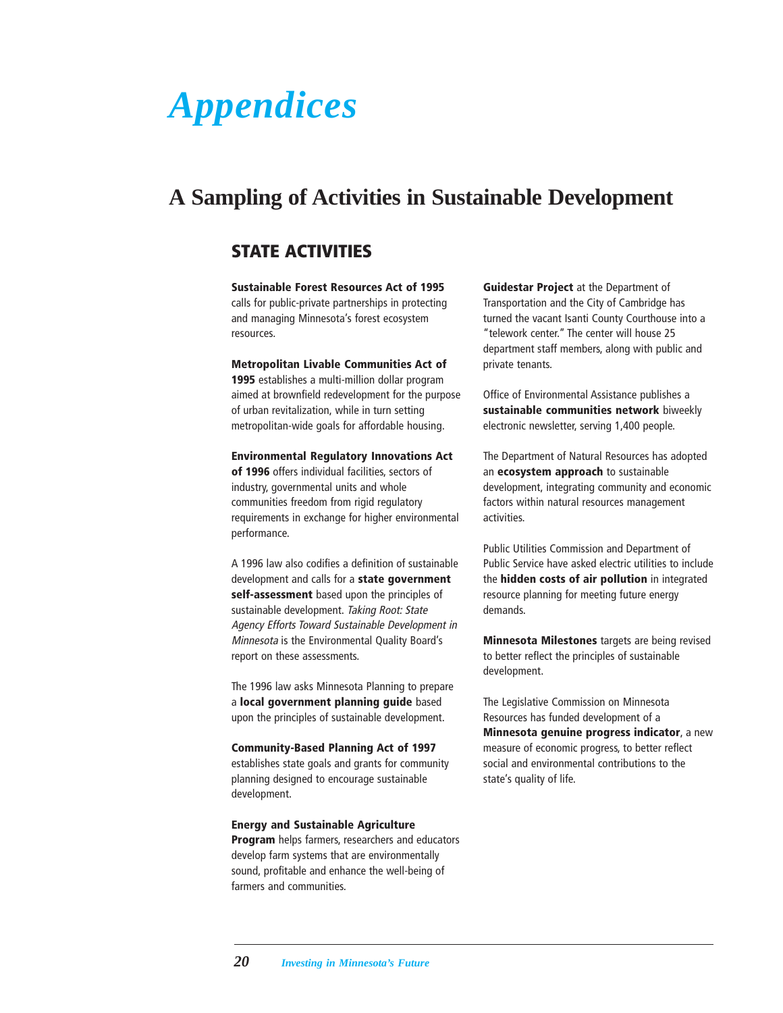## <span id="page-21-0"></span>*Appendices*

### **A Sampling of Activities in Sustainable Development**

#### **STATE ACTIVITIES**

**Sustainable Forest Resources Act of 1995** calls for public-private partnerships in protecting and managing Minnesota's forest ecosystem resources.

#### **Metropolitan Livable Communities Act of**

**1995** establishes a multi-million dollar program aimed at brownfield redevelopment for the purpose of urban revitalization, while in turn setting metropolitan-wide goals for affordable housing.

#### **Environmental Regulatory Innovations Act**

**of 1996** offers individual facilities, sectors of industry, governmental units and whole communities freedom from rigid regulatory requirements in exchange for higher environmental performance.

A 1996 law also codifies a definition of sustainable development and calls for a **state government self-assessment** based upon the principles of sustainable development. Taking Root: State Agency Efforts Toward Sustainable Development in Minnesota is the Environmental Quality Board's report on these assessments.

The 1996 law asks Minnesota Planning to prepare a **local government planning guide** based upon the principles of sustainable development.

#### **Community-Based Planning Act of 1997**

establishes state goals and grants for community planning designed to encourage sustainable development.

**Energy and Sustainable Agriculture Program** helps farmers, researchers and educators develop farm systems that are environmentally sound, profitable and enhance the well-being of farmers and communities.

**Guidestar Project** at the Department of Transportation and the City of Cambridge has turned the vacant Isanti County Courthouse into a "telework center." The center will house 25 department staff members, along with public and private tenants.

Office of Environmental Assistance publishes a **sustainable communities network** biweekly electronic newsletter, serving 1,400 people.

The Department of Natural Resources has adopted an **ecosystem approach** to sustainable development, integrating community and economic factors within natural resources management activities.

Public Utilities Commission and Department of Public Service have asked electric utilities to include the **hidden costs of air pollution** in integrated resource planning for meeting future energy demands.

**Minnesota Milestones** targets are being revised to better reflect the principles of sustainable development.

The Legislative Commission on Minnesota Resources has funded development of a **Minnesota genuine progress indicator**, a new measure of economic progress, to better reflect social and environmental contributions to the state's quality of life.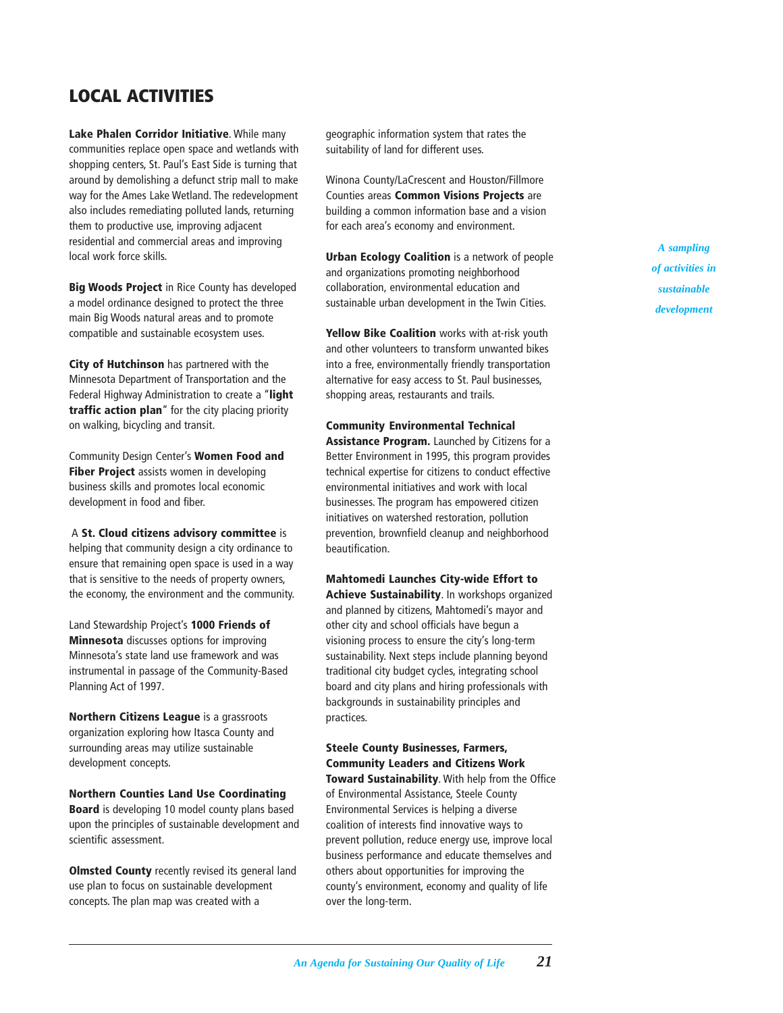#### **LOCAL ACTIVITIES**

**Lake Phalen Corridor Initiative**. While many communities replace open space and wetlands with shopping centers, St. Paul's East Side is turning that around by demolishing a defunct strip mall to make way for the Ames Lake Wetland. The redevelopment also includes remediating polluted lands, returning them to productive use, improving adjacent residential and commercial areas and improving local work force skills.

**Big Woods Project** in Rice County has developed a model ordinance designed to protect the three main Big Woods natural areas and to promote compatible and sustainable ecosystem uses.

**City of Hutchinson** has partnered with the Minnesota Department of Transportation and the Federal Highway Administration to create a "**light traffic action plan**" for the city placing priority on walking, bicycling and transit.

Community Design Center's **Women Food and Fiber Project** assists women in developing business skills and promotes local economic development in food and fiber.

 A **St. Cloud citizens advisory committee** is helping that community design a city ordinance to ensure that remaining open space is used in a way that is sensitive to the needs of property owners, the economy, the environment and the community.

Land Stewardship Project's **1000 Friends of Minnesota** discusses options for improving Minnesota's state land use framework and was instrumental in passage of the Community-Based Planning Act of 1997.

**Northern Citizens League** is a grassroots organization exploring how Itasca County and surrounding areas may utilize sustainable development concepts.

**Northern Counties Land Use Coordinating Board** is developing 10 model county plans based upon the principles of sustainable development and scientific assessment.

**Olmsted County** recently revised its general land use plan to focus on sustainable development concepts. The plan map was created with a

geographic information system that rates the suitability of land for different uses.

Winona County/LaCrescent and Houston/Fillmore Counties areas **Common Visions Projects** are building a common information base and a vision for each area's economy and environment.

**Urban Ecology Coalition** is a network of people and organizations promoting neighborhood collaboration, environmental education and sustainable urban development in the Twin Cities.

**Yellow Bike Coalition** works with at-risk youth and other volunteers to transform unwanted bikes into a free, environmentally friendly transportation alternative for easy access to St. Paul businesses, shopping areas, restaurants and trails.

**Community Environmental Technical Assistance Program.** Launched by Citizens for a Better Environment in 1995, this program provides technical expertise for citizens to conduct effective environmental initiatives and work with local businesses. The program has empowered citizen initiatives on watershed restoration, pollution prevention, brownfield cleanup and neighborhood beautification.

**Mahtomedi Launches City-wide Effort to Achieve Sustainability**. In workshops organized and planned by citizens, Mahtomedi's mayor and other city and school officials have begun a visioning process to ensure the city's long-term sustainability. Next steps include planning beyond traditional city budget cycles, integrating school board and city plans and hiring professionals with backgrounds in sustainability principles and practices.

**Steele County Businesses, Farmers, Community Leaders and Citizens Work Toward Sustainability**. With help from the Office of Environmental Assistance, Steele County Environmental Services is helping a diverse coalition of interests find innovative ways to prevent pollution, reduce energy use, improve local business performance and educate themselves and others about opportunities for improving the county's environment, economy and quality of life over the long-term.

*A sampling of activities in sustainable development*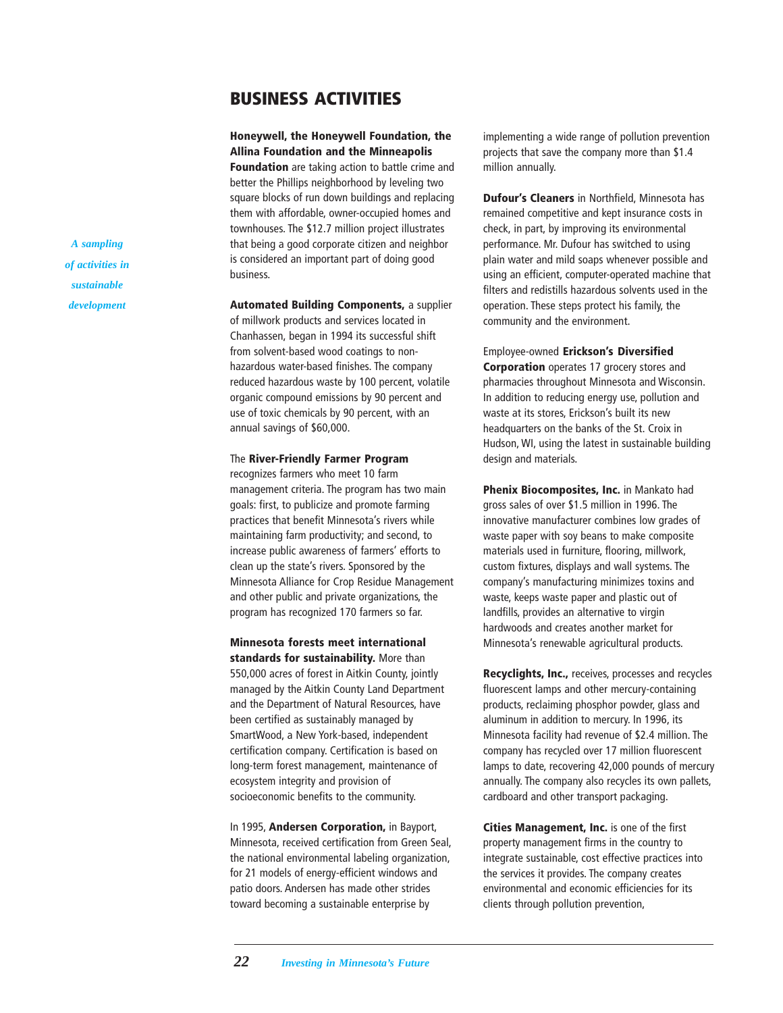#### **BUSINESS ACTIVITIES**

**Honeywell, the Honeywell Foundation, the Allina Foundation and the Minneapolis**

**Foundation** are taking action to battle crime and better the Phillips neighborhood by leveling two square blocks of run down buildings and replacing them with affordable, owner-occupied homes and townhouses. The \$12.7 million project illustrates that being a good corporate citizen and neighbor is considered an important part of doing good business.

**Automated Building Components,** a supplier of millwork products and services located in Chanhassen, began in 1994 its successful shift from solvent-based wood coatings to nonhazardous water-based finishes. The company reduced hazardous waste by 100 percent, volatile organic compound emissions by 90 percent and use of toxic chemicals by 90 percent, with an annual savings of \$60,000.

#### The **River-Friendly Farmer Program**

recognizes farmers who meet 10 farm management criteria. The program has two main goals: first, to publicize and promote farming practices that benefit Minnesota's rivers while maintaining farm productivity; and second, to increase public awareness of farmers' efforts to clean up the state's rivers. Sponsored by the Minnesota Alliance for Crop Residue Management and other public and private organizations, the program has recognized 170 farmers so far.

**Minnesota forests meet international standards for sustainability.** More than 550,000 acres of forest in Aitkin County, jointly managed by the Aitkin County Land Department and the Department of Natural Resources, have been certified as sustainably managed by SmartWood, a New York-based, independent certification company. Certification is based on long-term forest management, maintenance of ecosystem integrity and provision of socioeconomic benefits to the community.

In 1995, **Andersen Corporation,** in Bayport, Minnesota, received certification from Green Seal, the national environmental labeling organization, for 21 models of energy-efficient windows and patio doors. Andersen has made other strides toward becoming a sustainable enterprise by

implementing a wide range of pollution prevention projects that save the company more than \$1.4 million annually.

**Dufour's Cleaners** in Northfield, Minnesota has remained competitive and kept insurance costs in check, in part, by improving its environmental performance. Mr. Dufour has switched to using plain water and mild soaps whenever possible and using an efficient, computer-operated machine that filters and redistills hazardous solvents used in the operation. These steps protect his family, the community and the environment.

Employee-owned **Erickson's Diversified Corporation** operates 17 grocery stores and pharmacies throughout Minnesota and Wisconsin. In addition to reducing energy use, pollution and waste at its stores, Erickson's built its new headquarters on the banks of the St. Croix in Hudson, WI, using the latest in sustainable building design and materials.

**Phenix Biocomposites, Inc.** in Mankato had gross sales of over \$1.5 million in 1996. The innovative manufacturer combines low grades of waste paper with soy beans to make composite materials used in furniture, flooring, millwork, custom fixtures, displays and wall systems. The company's manufacturing minimizes toxins and waste, keeps waste paper and plastic out of landfills, provides an alternative to virgin hardwoods and creates another market for Minnesota's renewable agricultural products.

**Recyclights, Inc.,** receives, processes and recycles fluorescent lamps and other mercury-containing products, reclaiming phosphor powder, glass and aluminum in addition to mercury. In 1996, its Minnesota facility had revenue of \$2.4 million. The company has recycled over 17 million fluorescent lamps to date, recovering 42,000 pounds of mercury annually. The company also recycles its own pallets, cardboard and other transport packaging.

**Cities Management, Inc.** is one of the first property management firms in the country to integrate sustainable, cost effective practices into the services it provides. The company creates environmental and economic efficiencies for its clients through pollution prevention,

*A sampling of activities in sustainable development*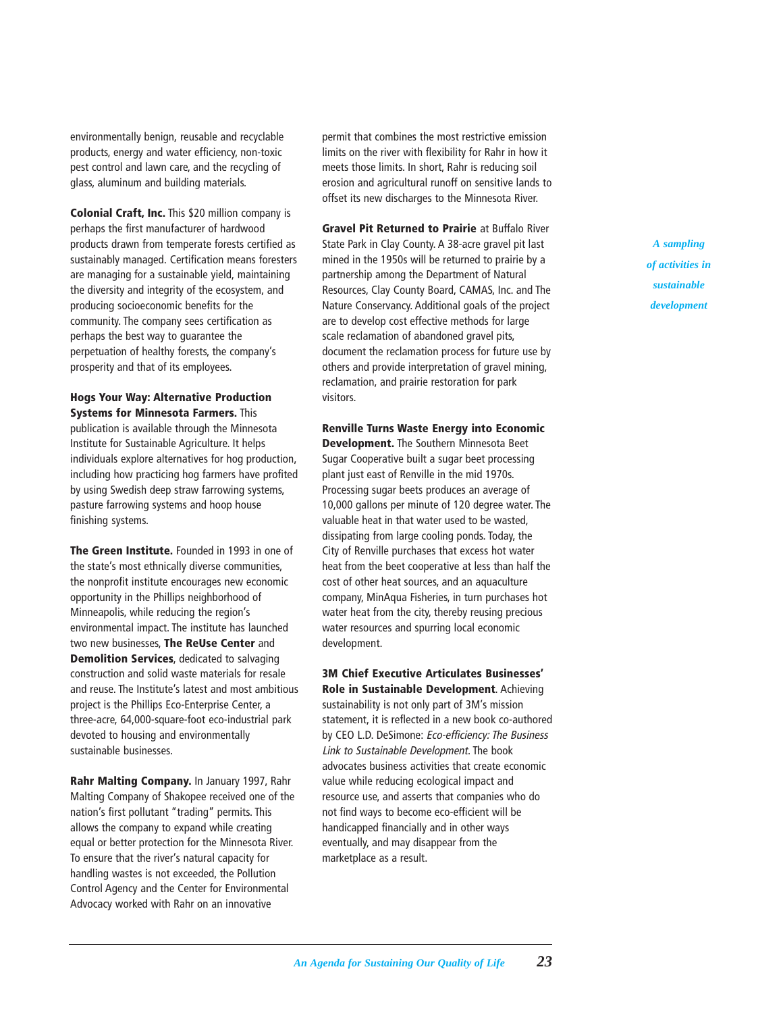environmentally benign, reusable and recyclable products, energy and water efficiency, non-toxic pest control and lawn care, and the recycling of glass, aluminum and building materials.

**Colonial Craft, Inc.** This \$20 million company is perhaps the first manufacturer of hardwood products drawn from temperate forests certified as sustainably managed. Certification means foresters are managing for a sustainable yield, maintaining the diversity and integrity of the ecosystem, and producing socioeconomic benefits for the community. The company sees certification as perhaps the best way to guarantee the perpetuation of healthy forests, the company's prosperity and that of its employees.

**Hogs Your Way: Alternative Production Systems for Minnesota Farmers.** This publication is available through the Minnesota Institute for Sustainable Agriculture. It helps individuals explore alternatives for hog production, including how practicing hog farmers have profited by using Swedish deep straw farrowing systems, pasture farrowing systems and hoop house finishing systems.

**The Green Institute.** Founded in 1993 in one of the state's most ethnically diverse communities, the nonprofit institute encourages new economic opportunity in the Phillips neighborhood of Minneapolis, while reducing the region's environmental impact. The institute has launched two new businesses, **The ReUse Center** and **Demolition Services**, dedicated to salvaging construction and solid waste materials for resale and reuse. The Institute's latest and most ambitious project is the Phillips Eco-Enterprise Center, a three-acre, 64,000-square-foot eco-industrial park devoted to housing and environmentally sustainable businesses.

**Rahr Malting Company.** In January 1997, Rahr Malting Company of Shakopee received one of the nation's first pollutant "trading" permits. This allows the company to expand while creating equal or better protection for the Minnesota River. To ensure that the river's natural capacity for handling wastes is not exceeded, the Pollution Control Agency and the Center for Environmental Advocacy worked with Rahr on an innovative

permit that combines the most restrictive emission limits on the river with flexibility for Rahr in how it meets those limits. In short, Rahr is reducing soil erosion and agricultural runoff on sensitive lands to offset its new discharges to the Minnesota River.

**Gravel Pit Returned to Prairie** at Buffalo River State Park in Clay County. A 38-acre gravel pit last mined in the 1950s will be returned to prairie by a partnership among the Department of Natural Resources, Clay County Board, CAMAS, Inc. and The Nature Conservancy. Additional goals of the project are to develop cost effective methods for large scale reclamation of abandoned gravel pits, document the reclamation process for future use by others and provide interpretation of gravel mining, reclamation, and prairie restoration for park visitors.

**Renville Turns Waste Energy into Economic Development.** The Southern Minnesota Beet Sugar Cooperative built a sugar beet processing plant just east of Renville in the mid 1970s. Processing sugar beets produces an average of 10,000 gallons per minute of 120 degree water. The valuable heat in that water used to be wasted, dissipating from large cooling ponds. Today, the City of Renville purchases that excess hot water heat from the beet cooperative at less than half the cost of other heat sources, and an aquaculture company, MinAqua Fisheries, in turn purchases hot water heat from the city, thereby reusing precious water resources and spurring local economic development.

**3M Chief Executive Articulates Businesses' Role in Sustainable Development**. Achieving

sustainability is not only part of 3M's mission statement, it is reflected in a new book co-authored by CEO L.D. DeSimone: Eco-efficiency: The Business Link to Sustainable Development. The book advocates business activities that create economic value while reducing ecological impact and resource use, and asserts that companies who do not find ways to become eco-efficient will be handicapped financially and in other ways eventually, and may disappear from the marketplace as a result.

*A sampling of activities in sustainable development*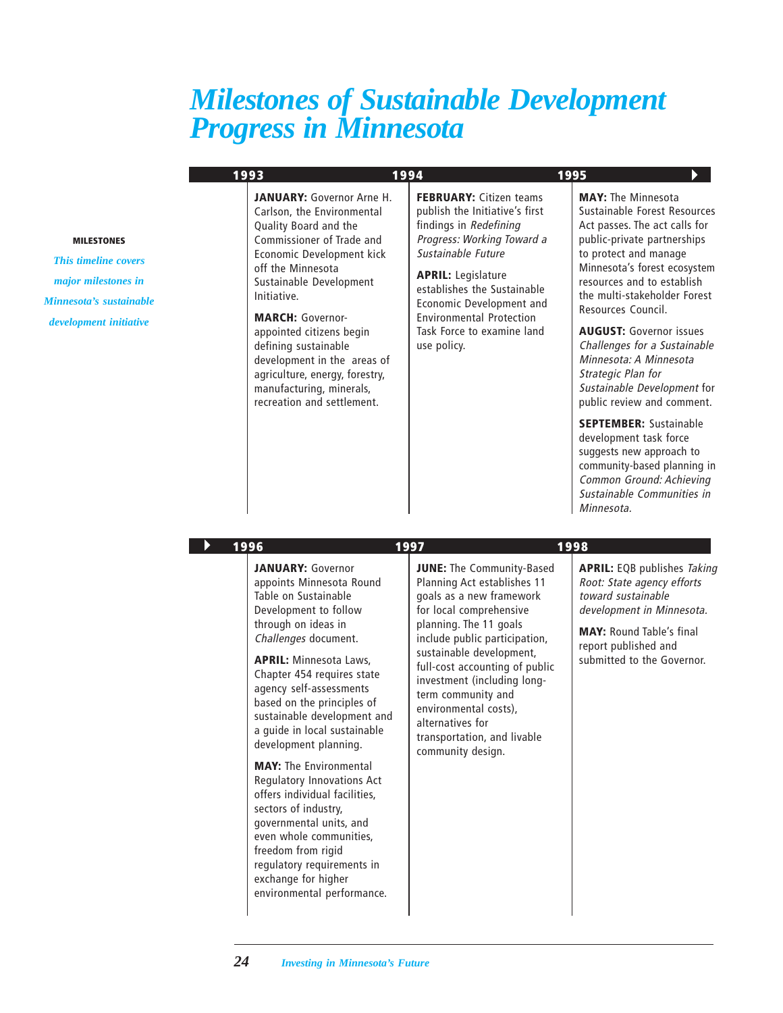### <span id="page-25-0"></span>*Milestones of Sustainable Development Progress in Minnesota*

| 1993 | 1994                                                                                                                                                                                                                                                                                                                                                                                                                       |                                                                                                                                                                                                                                                                                                                        | 1995                                                                                                                                                                                                                                                                                                                                                                                                                                                  |
|------|----------------------------------------------------------------------------------------------------------------------------------------------------------------------------------------------------------------------------------------------------------------------------------------------------------------------------------------------------------------------------------------------------------------------------|------------------------------------------------------------------------------------------------------------------------------------------------------------------------------------------------------------------------------------------------------------------------------------------------------------------------|-------------------------------------------------------------------------------------------------------------------------------------------------------------------------------------------------------------------------------------------------------------------------------------------------------------------------------------------------------------------------------------------------------------------------------------------------------|
|      | <b>JANUARY:</b> Governor Arne H.<br>Carlson, the Environmental<br>Quality Board and the<br>Commissioner of Trade and<br>Economic Development kick<br>off the Minnesota<br>Sustainable Development<br>Initiative.<br><b>MARCH: Governor-</b><br>appointed citizens begin<br>defining sustainable<br>development in the areas of<br>agriculture, energy, forestry,<br>manufacturing, minerals,<br>recreation and settlement. | <b>FEBRUARY:</b> Citizen teams<br>publish the Initiative's first<br>findings in Redefining<br>Progress: Working Toward a<br>Sustainable Future<br><b>APRIL:</b> Legislature<br>establishes the Sustainable<br>Economic Development and<br><b>Environmental Protection</b><br>Task Force to examine land<br>use policy. | <b>MAY:</b> The Minnesota<br>Sustainable Forest Resources<br>Act passes. The act calls for<br>public-private partnerships<br>to protect and manage<br>Minnesota's forest ecosystem<br>resources and to establish<br>the multi-stakeholder Forest<br>Resources Council.<br><b>AUGUST:</b> Governor issues<br>Challenges for a Sustainable<br>Minnesota: A Minnesota<br>Strategic Plan for<br>Sustainable Development for<br>public review and comment. |
|      |                                                                                                                                                                                                                                                                                                                                                                                                                            |                                                                                                                                                                                                                                                                                                                        | <b>SEPTEMBER: Sustainable</b><br>development task force<br>suggests new approach to<br>community-based planning in<br>Common Ground: Achieving<br>Sustainable Communities in<br>Minnesota.                                                                                                                                                                                                                                                            |

#### **MILESTONES**

*This timeline covers major milestones in Minnesota's sustainable development initiative*

#### **1996 1997 1998**

**JANUARY:** Governor appoints Minnesota Round Table on Sustainable Development to follow through on ideas in Challenges document.

**APRIL:** Minnesota Laws, Chapter 454 requires state agency self-assessments based on the principles of sustainable development and a guide in local sustainable development planning.

**MAY:** The Environmental Regulatory Innovations Act offers individual facilities, sectors of industry, governmental units, and even whole communities, freedom from rigid regulatory requirements in exchange for higher environmental performance.

**JUNE:** The Community-Based Planning Act establishes 11 goals as a new framework for local comprehensive planning. The 11 goals include public participation, sustainable development, full-cost accounting of public investment (including longterm community and environmental costs), alternatives for transportation, and livable community design.

**APRIL:** EQB publishes Taking Root: State agency efforts toward sustainable development in Minnesota.

**MAY:** Round Table's final report published and submitted to the Governor.